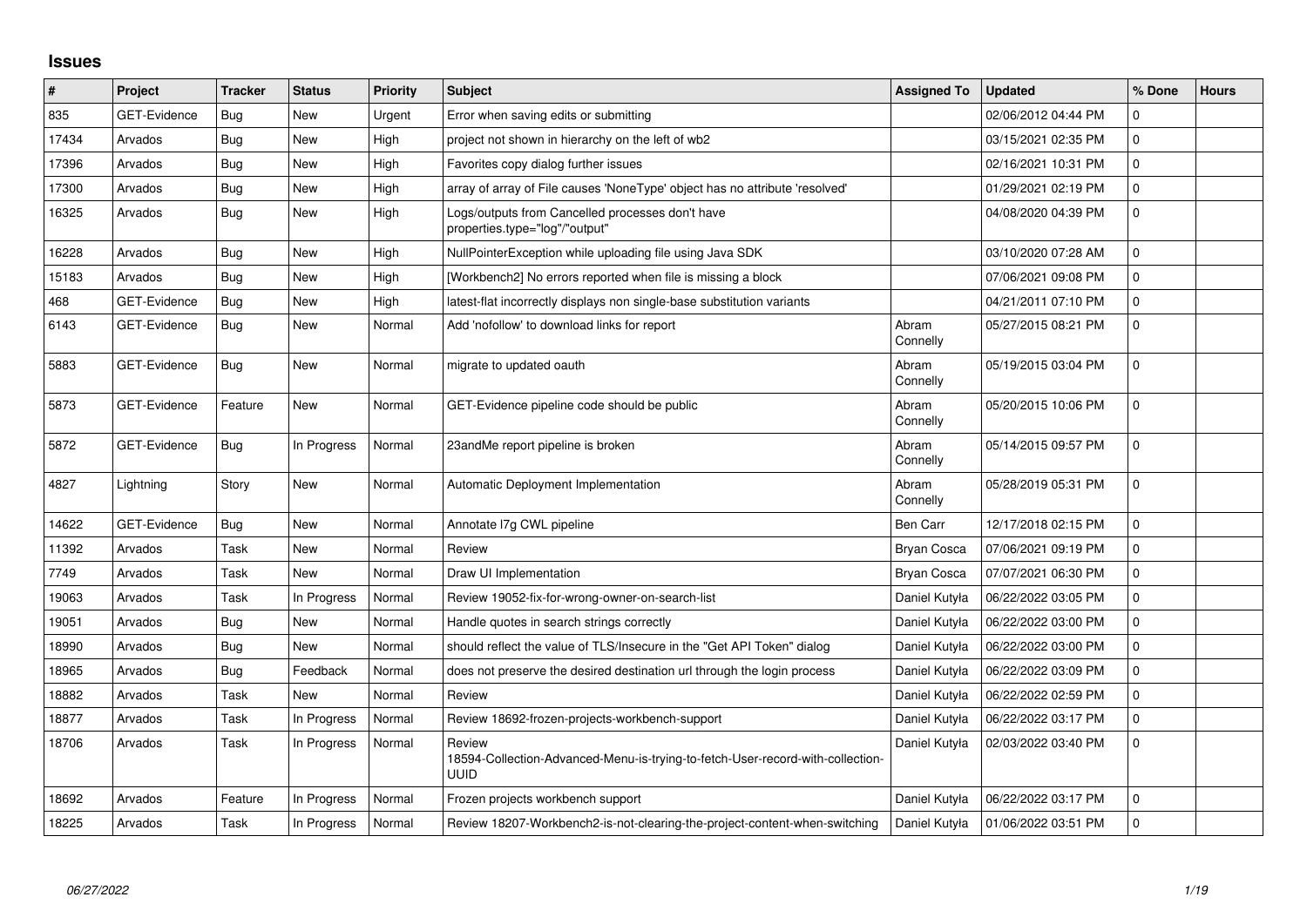## **Issues**

| #     | Project             | <b>Tracker</b> | <b>Status</b> | Priority | <b>Subject</b>                                                                                   | <b>Assigned To</b> | <b>Updated</b>      | % Done      | <b>Hours</b> |
|-------|---------------------|----------------|---------------|----------|--------------------------------------------------------------------------------------------------|--------------------|---------------------|-------------|--------------|
| 835   | <b>GET-Evidence</b> | Bug            | <b>New</b>    | Urgent   | Error when saving edits or submitting                                                            |                    | 02/06/2012 04:44 PM | $\mathbf 0$ |              |
| 17434 | Arvados             | Bug            | New           | High     | project not shown in hierarchy on the left of wb2                                                |                    | 03/15/2021 02:35 PM | 0           |              |
| 17396 | Arvados             | Bug            | <b>New</b>    | High     | Favorites copy dialog further issues                                                             |                    | 02/16/2021 10:31 PM | 0           |              |
| 17300 | Arvados             | Bug            | <b>New</b>    | High     | array of array of File causes 'NoneType' object has no attribute 'resolved'                      |                    | 01/29/2021 02:19 PM | 0           |              |
| 16325 | Arvados             | Bug            | <b>New</b>    | High     | Logs/outputs from Cancelled processes don't have<br>properties.type="log"/"output"               |                    | 04/08/2020 04:39 PM | $\mathbf 0$ |              |
| 16228 | Arvados             | Bug            | <b>New</b>    | High     | NullPointerException while uploading file using Java SDK                                         |                    | 03/10/2020 07:28 AM | $\Omega$    |              |
| 15183 | Arvados             | Bug            | <b>New</b>    | High     | [Workbench2] No errors reported when file is missing a block                                     |                    | 07/06/2021 09:08 PM | 0           |              |
| 468   | GET-Evidence        | Bug            | New           | High     | latest-flat incorrectly displays non single-base substitution variants                           |                    | 04/21/2011 07:10 PM | 0           |              |
| 6143  | <b>GET-Evidence</b> | Bug            | <b>New</b>    | Normal   | Add 'nofollow' to download links for report                                                      | Abram<br>Connelly  | 05/27/2015 08:21 PM | 0           |              |
| 5883  | GET-Evidence        | Bug            | <b>New</b>    | Normal   | migrate to updated oauth                                                                         | Abram<br>Connelly  | 05/19/2015 03:04 PM | 0           |              |
| 5873  | <b>GET-Evidence</b> | Feature        | New           | Normal   | GET-Evidence pipeline code should be public                                                      | Abram<br>Connelly  | 05/20/2015 10:06 PM | $\Omega$    |              |
| 5872  | <b>GET-Evidence</b> | Bug            | In Progress   | Normal   | 23andMe report pipeline is broken                                                                | Abram<br>Connelly  | 05/14/2015 09:57 PM | $\mathbf 0$ |              |
| 4827  | Lightning           | Story          | New           | Normal   | <b>Automatic Deployment Implementation</b>                                                       | Abram<br>Connelly  | 05/28/2019 05:31 PM | 0           |              |
| 14622 | <b>GET-Evidence</b> | <b>Bug</b>     | New           | Normal   | Annotate I7g CWL pipeline                                                                        | Ben Carr           | 12/17/2018 02:15 PM | 0           |              |
| 11392 | Arvados             | Task           | <b>New</b>    | Normal   | Review                                                                                           | Bryan Cosca        | 07/06/2021 09:19 PM | 0           |              |
| 7749  | Arvados             | Task           | <b>New</b>    | Normal   | Draw UI Implementation                                                                           | Bryan Cosca        | 07/07/2021 06:30 PM | $\Omega$    |              |
| 19063 | Arvados             | Task           | In Progress   | Normal   | Review 19052-fix-for-wrong-owner-on-search-list                                                  | Daniel Kutyła      | 06/22/2022 03:05 PM | $\mathbf 0$ |              |
| 19051 | Arvados             | Bug            | <b>New</b>    | Normal   | Handle quotes in search strings correctly                                                        | Daniel Kutyła      | 06/22/2022 03:00 PM | 0           |              |
| 18990 | Arvados             | Bug            | <b>New</b>    | Normal   | should reflect the value of TLS/Insecure in the "Get API Token" dialog                           | Daniel Kutyła      | 06/22/2022 03:00 PM | 0           |              |
| 18965 | Arvados             | Bug            | Feedback      | Normal   | does not preserve the desired destination url through the login process                          | Daniel Kutyła      | 06/22/2022 03:09 PM | 0           |              |
| 18882 | Arvados             | Task           | New           | Normal   | Review                                                                                           | Daniel Kutyła      | 06/22/2022 02:59 PM | 0           |              |
| 18877 | Arvados             | Task           | In Progress   | Normal   | Review 18692-frozen-projects-workbench-support                                                   | Daniel Kutyła      | 06/22/2022 03:17 PM | 0           |              |
| 18706 | Arvados             | Task           | In Progress   | Normal   | Review<br>18594-Collection-Advanced-Menu-is-trying-to-fetch-User-record-with-collection-<br>UUID | Daniel Kutyła      | 02/03/2022 03:40 PM | 0           |              |
| 18692 | Arvados             | Feature        | In Progress   | Normal   | Frozen projects workbench support                                                                | Daniel Kutyła      | 06/22/2022 03:17 PM | 0           |              |
| 18225 | Arvados             | Task           | In Progress   | Normal   | Review 18207-Workbench2-is-not-clearing-the-project-content-when-switching                       | Daniel Kutyła      | 01/06/2022 03:51 PM | 0           |              |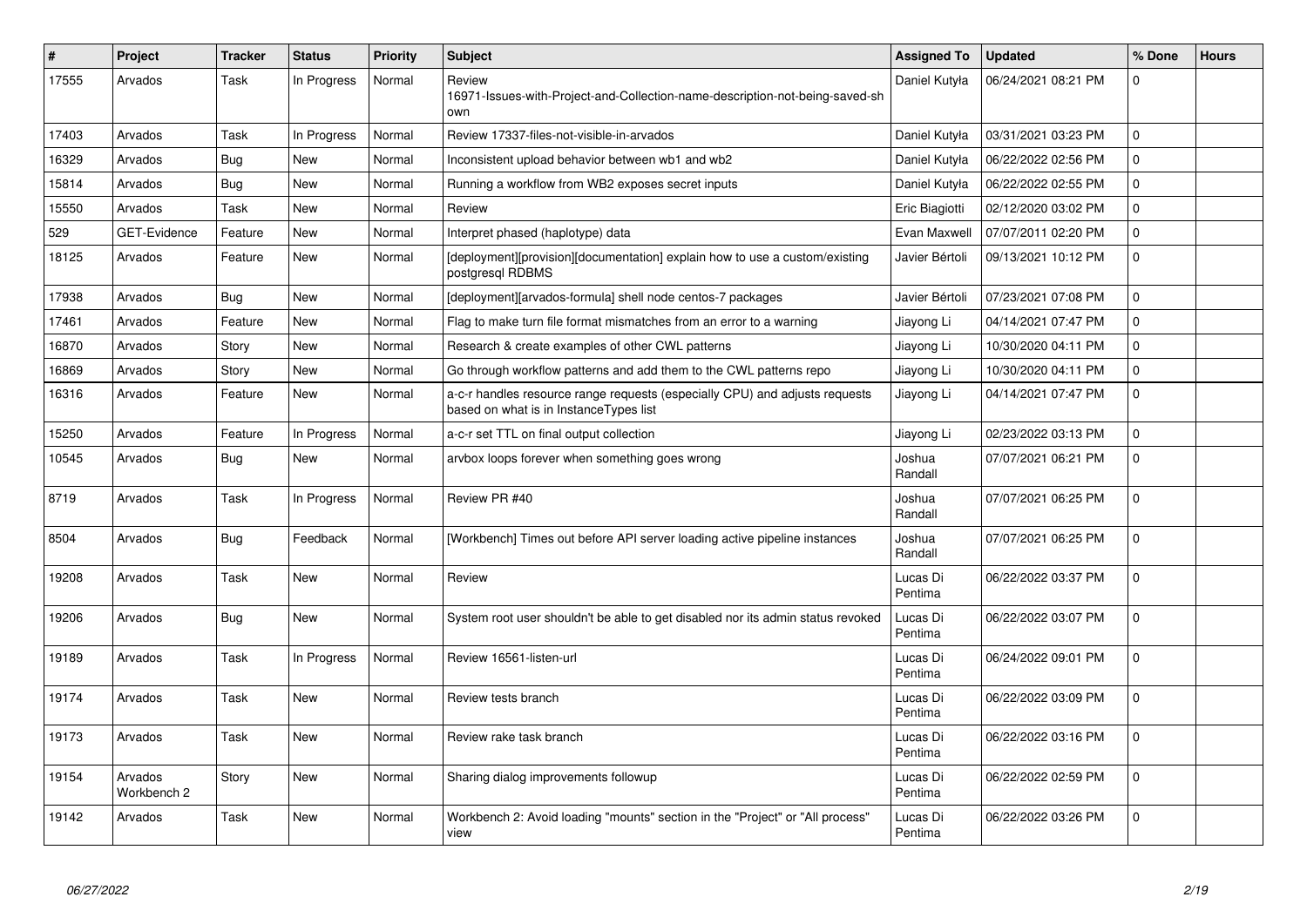| $\#$  | <b>Project</b>         | <b>Tracker</b> | <b>Status</b> | <b>Priority</b> | <b>Subject</b>                                                                                                        | Assigned To         | <b>Updated</b>      | % Done       | <b>Hours</b> |
|-------|------------------------|----------------|---------------|-----------------|-----------------------------------------------------------------------------------------------------------------------|---------------------|---------------------|--------------|--------------|
| 17555 | Arvados                | Task           | In Progress   | Normal          | Review<br>16971-Issues-with-Project-and-Collection-name-description-not-being-saved-sh<br>own                         | Daniel Kutyła       | 06/24/2021 08:21 PM | 0            |              |
| 17403 | Arvados                | Task           | In Progress   | Normal          | Review 17337-files-not-visible-in-arvados                                                                             | Daniel Kutyła       | 03/31/2021 03:23 PM | $\mathbf{0}$ |              |
| 16329 | Arvados                | <b>Bug</b>     | <b>New</b>    | Normal          | Inconsistent upload behavior between wb1 and wb2                                                                      | Daniel Kutyła       | 06/22/2022 02:56 PM | $\Omega$     |              |
| 15814 | Arvados                | <b>Bug</b>     | <b>New</b>    | Normal          | Running a workflow from WB2 exposes secret inputs                                                                     | Daniel Kutyła       | 06/22/2022 02:55 PM | $\mathbf 0$  |              |
| 15550 | Arvados                | Task           | <b>New</b>    | Normal          | Review                                                                                                                | Eric Biagiotti      | 02/12/2020 03:02 PM | 0            |              |
| 529   | GET-Evidence           | Feature        | New           | Normal          | Interpret phased (haplotype) data                                                                                     | Evan Maxwell        | 07/07/2011 02:20 PM | 0            |              |
| 18125 | Arvados                | Feature        | <b>New</b>    | Normal          | [deployment][provision][documentation] explain how to use a custom/existing<br>postgresgl RDBMS                       | Javier Bértoli      | 09/13/2021 10:12 PM | 0            |              |
| 17938 | Arvados                | <b>Bug</b>     | <b>New</b>    | Normal          | [deployment][arvados-formula] shell node centos-7 packages                                                            | Javier Bértoli      | 07/23/2021 07:08 PM | 0            |              |
| 17461 | Arvados                | Feature        | <b>New</b>    | Normal          | Flag to make turn file format mismatches from an error to a warning                                                   | Jiayong Li          | 04/14/2021 07:47 PM | 0            |              |
| 16870 | Arvados                | Story          | New           | Normal          | Research & create examples of other CWL patterns                                                                      | Jiayong Li          | 10/30/2020 04:11 PM | 0            |              |
| 16869 | Arvados                | Story          | <b>New</b>    | Normal          | Go through workflow patterns and add them to the CWL patterns repo                                                    | Jiayong Li          | 10/30/2020 04:11 PM | 0            |              |
| 16316 | Arvados                | Feature        | New           | Normal          | a-c-r handles resource range requests (especially CPU) and adjusts requests<br>based on what is in InstanceTypes list | Jiayong Li          | 04/14/2021 07:47 PM | $\mathbf 0$  |              |
| 15250 | Arvados                | Feature        | In Progress   | Normal          | a-c-r set TTL on final output collection                                                                              | Jiayong Li          | 02/23/2022 03:13 PM | 0            |              |
| 10545 | Arvados                | <b>Bug</b>     | New           | Normal          | arvbox loops forever when something goes wrong                                                                        | Joshua<br>Randall   | 07/07/2021 06:21 PM | 0            |              |
| 8719  | Arvados                | Task           | In Progress   | Normal          | Review PR #40                                                                                                         | Joshua<br>Randall   | 07/07/2021 06:25 PM | $\Omega$     |              |
| 8504  | Arvados                | <b>Bug</b>     | Feedback      | Normal          | [Workbench] Times out before API server loading active pipeline instances                                             | Joshua<br>Randall   | 07/07/2021 06:25 PM | $\Omega$     |              |
| 19208 | Arvados                | Task           | <b>New</b>    | Normal          | Review                                                                                                                | Lucas Di<br>Pentima | 06/22/2022 03:37 PM | $\Omega$     |              |
| 19206 | Arvados                | <b>Bug</b>     | New           | Normal          | System root user shouldn't be able to get disabled nor its admin status revoked                                       | Lucas Di<br>Pentima | 06/22/2022 03:07 PM | $\mathbf{0}$ |              |
| 19189 | Arvados                | Task           | In Progress   | Normal          | Review 16561-listen-url                                                                                               | Lucas Di<br>Pentima | 06/24/2022 09:01 PM | $\mathbf 0$  |              |
| 19174 | Arvados                | Task           | <b>New</b>    | Normal          | Review tests branch                                                                                                   | Lucas Di<br>Pentima | 06/22/2022 03:09 PM | 0            |              |
| 19173 | Arvados                | Task           | New           | Normal          | Review rake task branch                                                                                               | Lucas Di<br>Pentima | 06/22/2022 03:16 PM | $\mathbf 0$  |              |
| 19154 | Arvados<br>Workbench 2 | Story          | <b>New</b>    | Normal          | Sharing dialog improvements followup                                                                                  | Lucas Di<br>Pentima | 06/22/2022 02:59 PM | 0            |              |
| 19142 | Arvados                | Task           | New           | Normal          | Workbench 2: Avoid loading "mounts" section in the "Project" or "All process"<br>view                                 | Lucas Di<br>Pentima | 06/22/2022 03:26 PM | $\Omega$     |              |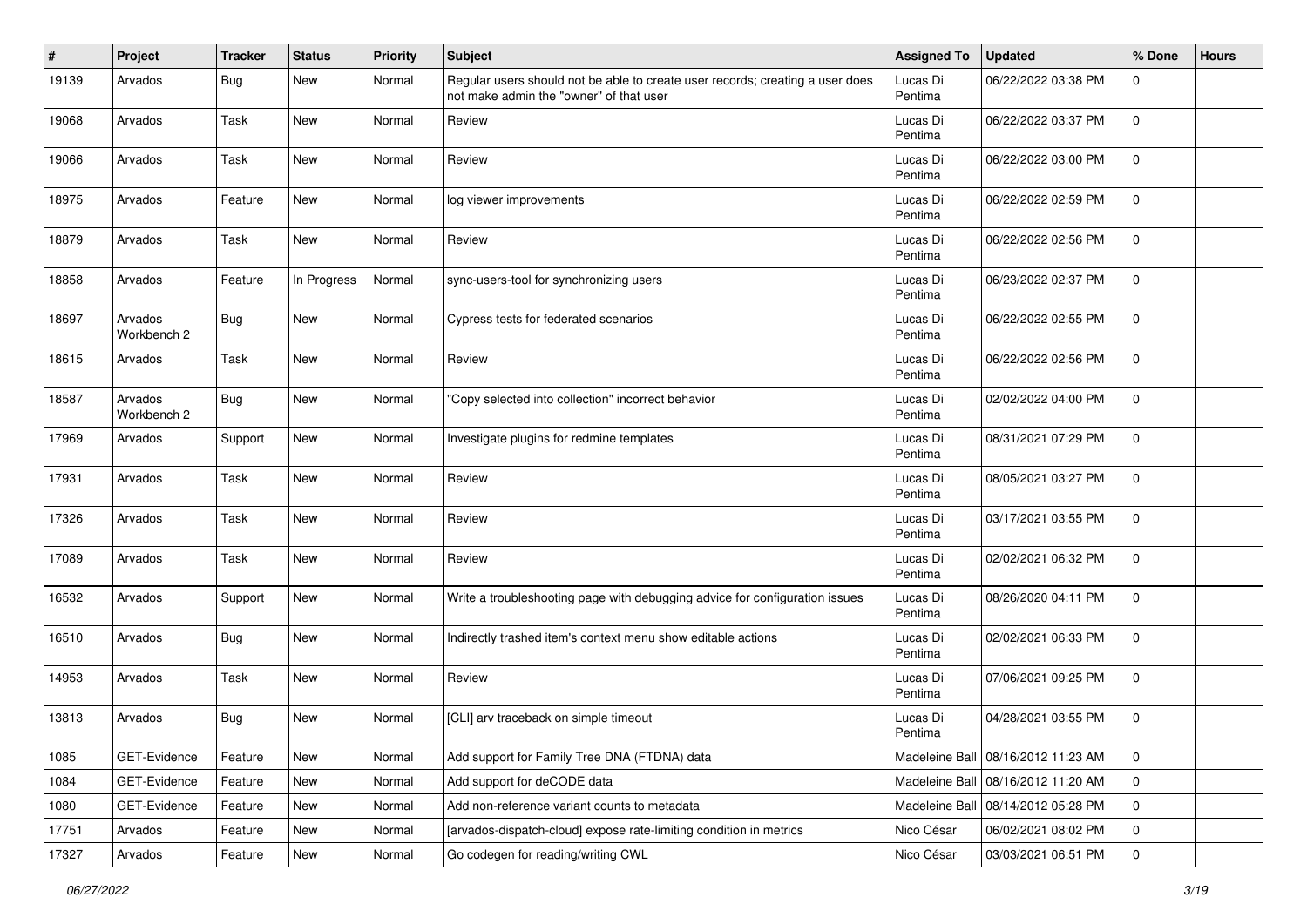| ∦     | Project                | <b>Tracker</b> | <b>Status</b> | <b>Priority</b> | Subject                                                                                                                  | <b>Assigned To</b>  | <b>Updated</b>                       | % Done      | <b>Hours</b> |
|-------|------------------------|----------------|---------------|-----------------|--------------------------------------------------------------------------------------------------------------------------|---------------------|--------------------------------------|-------------|--------------|
| 19139 | Arvados                | Bug            | New           | Normal          | Regular users should not be able to create user records; creating a user does<br>not make admin the "owner" of that user | Lucas Di<br>Pentima | 06/22/2022 03:38 PM                  | 0           |              |
| 19068 | Arvados                | Task           | New           | Normal          | Review                                                                                                                   | Lucas Di<br>Pentima | 06/22/2022 03:37 PM                  | 0           |              |
| 19066 | Arvados                | Task           | New           | Normal          | Review                                                                                                                   | Lucas Di<br>Pentima | 06/22/2022 03:00 PM                  | 0           |              |
| 18975 | Arvados                | Feature        | New           | Normal          | log viewer improvements                                                                                                  | Lucas Di<br>Pentima | 06/22/2022 02:59 PM                  | 0           |              |
| 18879 | Arvados                | Task           | New           | Normal          | Review                                                                                                                   | Lucas Di<br>Pentima | 06/22/2022 02:56 PM                  | 0           |              |
| 18858 | Arvados                | Feature        | In Progress   | Normal          | sync-users-tool for synchronizing users                                                                                  | Lucas Di<br>Pentima | 06/23/2022 02:37 PM                  | 0           |              |
| 18697 | Arvados<br>Workbench 2 | <b>Bug</b>     | New           | Normal          | Cypress tests for federated scenarios                                                                                    | Lucas Di<br>Pentima | 06/22/2022 02:55 PM                  | $\mathbf 0$ |              |
| 18615 | Arvados                | Task           | New           | Normal          | Review                                                                                                                   | Lucas Di<br>Pentima | 06/22/2022 02:56 PM                  | 0           |              |
| 18587 | Arvados<br>Workbench 2 | <b>Bug</b>     | New           | Normal          | "Copy selected into collection" incorrect behavior                                                                       | Lucas Di<br>Pentima | 02/02/2022 04:00 PM                  | 0           |              |
| 17969 | Arvados                | Support        | New           | Normal          | Investigate plugins for redmine templates                                                                                | Lucas Di<br>Pentima | 08/31/2021 07:29 PM                  | 0           |              |
| 17931 | Arvados                | Task           | New           | Normal          | Review                                                                                                                   | Lucas Di<br>Pentima | 08/05/2021 03:27 PM                  | 0           |              |
| 17326 | Arvados                | Task           | New           | Normal          | Review                                                                                                                   | Lucas Di<br>Pentima | 03/17/2021 03:55 PM                  | 0           |              |
| 17089 | Arvados                | Task           | New           | Normal          | Review                                                                                                                   | Lucas Di<br>Pentima | 02/02/2021 06:32 PM                  | 0           |              |
| 16532 | Arvados                | Support        | <b>New</b>    | Normal          | Write a troubleshooting page with debugging advice for configuration issues                                              | Lucas Di<br>Pentima | 08/26/2020 04:11 PM                  | $\mathbf 0$ |              |
| 16510 | Arvados                | <b>Bug</b>     | New           | Normal          | Indirectly trashed item's context menu show editable actions                                                             | Lucas Di<br>Pentima | 02/02/2021 06:33 PM                  | 0           |              |
| 14953 | Arvados                | Task           | New           | Normal          | Review                                                                                                                   | Lucas Di<br>Pentima | 07/06/2021 09:25 PM                  | $\mathbf 0$ |              |
| 13813 | Arvados                | <b>Bug</b>     | New           | Normal          | [CLI] arv traceback on simple timeout                                                                                    | Lucas Di<br>Pentima | 04/28/2021 03:55 PM                  | $\mathbf 0$ |              |
| 1085  | GET-Evidence           | Feature        | New           | Normal          | Add support for Family Tree DNA (FTDNA) data                                                                             |                     | Madeleine Ball   08/16/2012 11:23 AM | 0           |              |
| 1084  | GET-Evidence           | Feature        | New           | Normal          | Add support for deCODE data                                                                                              | Madeleine Ball      | 08/16/2012 11:20 AM                  | 0           |              |
| 1080  | GET-Evidence           | Feature        | New           | Normal          | Add non-reference variant counts to metadata                                                                             | Madeleine Ball      | 08/14/2012 05:28 PM                  | 0           |              |
| 17751 | Arvados                | Feature        | New           | Normal          | [arvados-dispatch-cloud] expose rate-limiting condition in metrics                                                       | Nico César          | 06/02/2021 08:02 PM                  | 0           |              |
| 17327 | Arvados                | Feature        | New           | Normal          | Go codegen for reading/writing CWL                                                                                       | Nico César          | 03/03/2021 06:51 PM                  | 0           |              |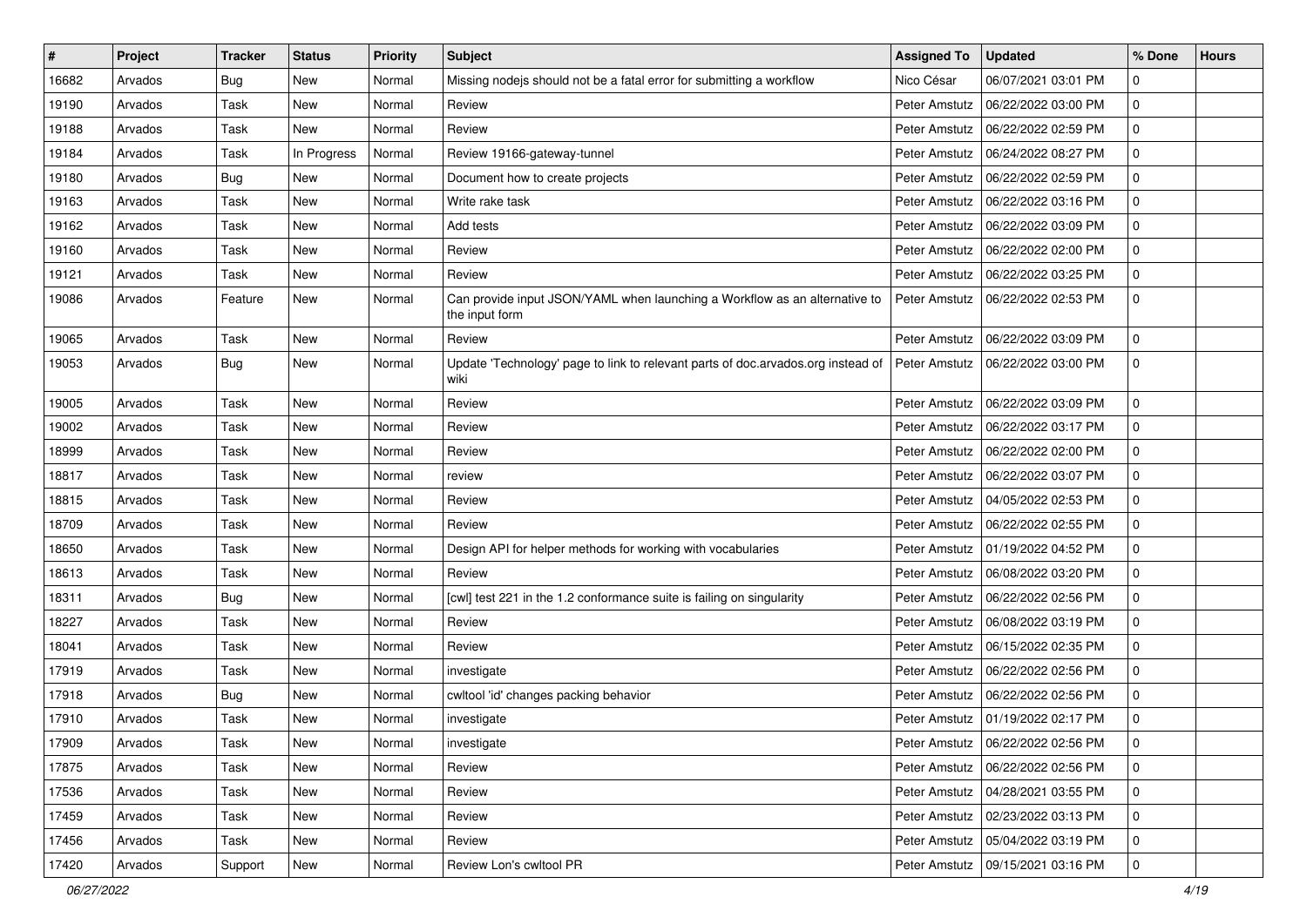| #     | Project | <b>Tracker</b> | <b>Status</b> | <b>Priority</b> | <b>Subject</b>                                                                               | <b>Assigned To</b> | <b>Updated</b>                      | % Done      | <b>Hours</b> |
|-------|---------|----------------|---------------|-----------------|----------------------------------------------------------------------------------------------|--------------------|-------------------------------------|-------------|--------------|
| 16682 | Arvados | Bug            | New           | Normal          | Missing nodejs should not be a fatal error for submitting a workflow                         | Nico César         | 06/07/2021 03:01 PM                 | 0           |              |
| 19190 | Arvados | Task           | New           | Normal          | Review                                                                                       | Peter Amstutz      | 06/22/2022 03:00 PM                 | 0           |              |
| 19188 | Arvados | Task           | New           | Normal          | Review                                                                                       | Peter Amstutz      | 06/22/2022 02:59 PM                 | 0           |              |
| 19184 | Arvados | Task           | In Progress   | Normal          | Review 19166-gateway-tunnel                                                                  | Peter Amstutz      | 06/24/2022 08:27 PM                 | 0           |              |
| 19180 | Arvados | Bug            | <b>New</b>    | Normal          | Document how to create projects                                                              | Peter Amstutz      | 06/22/2022 02:59 PM                 | 0           |              |
| 19163 | Arvados | Task           | New           | Normal          | Write rake task                                                                              | Peter Amstutz      | 06/22/2022 03:16 PM                 | 0           |              |
| 19162 | Arvados | Task           | New           | Normal          | Add tests                                                                                    | Peter Amstutz      | 06/22/2022 03:09 PM                 | 0           |              |
| 19160 | Arvados | Task           | New           | Normal          | Review                                                                                       | Peter Amstutz      | 06/22/2022 02:00 PM                 | 0           |              |
| 19121 | Arvados | Task           | New           | Normal          | Review                                                                                       | Peter Amstutz      | 06/22/2022 03:25 PM                 | 0           |              |
| 19086 | Arvados | Feature        | New           | Normal          | Can provide input JSON/YAML when launching a Workflow as an alternative to<br>the input form | Peter Amstutz      | 06/22/2022 02:53 PM                 | 0           |              |
| 19065 | Arvados | Task           | New           | Normal          | Review                                                                                       | Peter Amstutz      | 06/22/2022 03:09 PM                 | 0           |              |
| 19053 | Arvados | Bug            | New           | Normal          | Update 'Technology' page to link to relevant parts of doc.arvados.org instead of<br>wiki     | Peter Amstutz      | 06/22/2022 03:00 PM                 | 0           |              |
| 19005 | Arvados | Task           | <b>New</b>    | Normal          | Review                                                                                       | Peter Amstutz      | 06/22/2022 03:09 PM                 | 0           |              |
| 19002 | Arvados | Task           | New           | Normal          | Review                                                                                       | Peter Amstutz      | 06/22/2022 03:17 PM                 | 0           |              |
| 18999 | Arvados | Task           | New           | Normal          | Review                                                                                       | Peter Amstutz      | 06/22/2022 02:00 PM                 | 0           |              |
| 18817 | Arvados | Task           | New           | Normal          | review                                                                                       | Peter Amstutz      | 06/22/2022 03:07 PM                 | 0           |              |
| 18815 | Arvados | Task           | New           | Normal          | Review                                                                                       | Peter Amstutz      | 04/05/2022 02:53 PM                 | 0           |              |
| 18709 | Arvados | Task           | New           | Normal          | Review                                                                                       | Peter Amstutz      | 06/22/2022 02:55 PM                 | 0           |              |
| 18650 | Arvados | Task           | <b>New</b>    | Normal          | Design API for helper methods for working with vocabularies                                  | Peter Amstutz      | 01/19/2022 04:52 PM                 | 0           |              |
| 18613 | Arvados | Task           | New           | Normal          | Review                                                                                       | Peter Amstutz      | 06/08/2022 03:20 PM                 | 0           |              |
| 18311 | Arvados | Bug            | <b>New</b>    | Normal          | [cwl] test 221 in the 1.2 conformance suite is failing on singularity                        | Peter Amstutz      | 06/22/2022 02:56 PM                 | 0           |              |
| 18227 | Arvados | Task           | New           | Normal          | Review                                                                                       | Peter Amstutz      | 06/08/2022 03:19 PM                 | 0           |              |
| 18041 | Arvados | Task           | New           | Normal          | Review                                                                                       | Peter Amstutz      | 06/15/2022 02:35 PM                 | 0           |              |
| 17919 | Arvados | Task           | <b>New</b>    | Normal          | investigate                                                                                  | Peter Amstutz      | 06/22/2022 02:56 PM                 | 0           |              |
| 17918 | Arvados | <b>Bug</b>     | New           | Normal          | cwltool 'id' changes packing behavior                                                        | Peter Amstutz      | 06/22/2022 02:56 PM                 | 0           |              |
| 17910 | Arvados | Task           | New           | Normal          | investigate                                                                                  | Peter Amstutz      | 01/19/2022 02:17 PM                 | 0           |              |
| 17909 | Arvados | Task           | New           | Normal          | investigate                                                                                  |                    | Peter Amstutz   06/22/2022 02:56 PM | l 0         |              |
| 17875 | Arvados | Task           | New           | Normal          | Review                                                                                       | Peter Amstutz      | 06/22/2022 02:56 PM                 | 0           |              |
| 17536 | Arvados | Task           | New           | Normal          | Review                                                                                       | Peter Amstutz      | l 04/28/2021 03:55 PM               | 0           |              |
| 17459 | Arvados | Task           | New           | Normal          | Review                                                                                       | Peter Amstutz      | 02/23/2022 03:13 PM                 | 0           |              |
| 17456 | Arvados | Task           | New           | Normal          | Review                                                                                       | Peter Amstutz      | 05/04/2022 03:19 PM                 | $\mathbf 0$ |              |
| 17420 | Arvados | Support        | New           | Normal          | Review Lon's cwltool PR                                                                      | Peter Amstutz      | 09/15/2021 03:16 PM                 | 0           |              |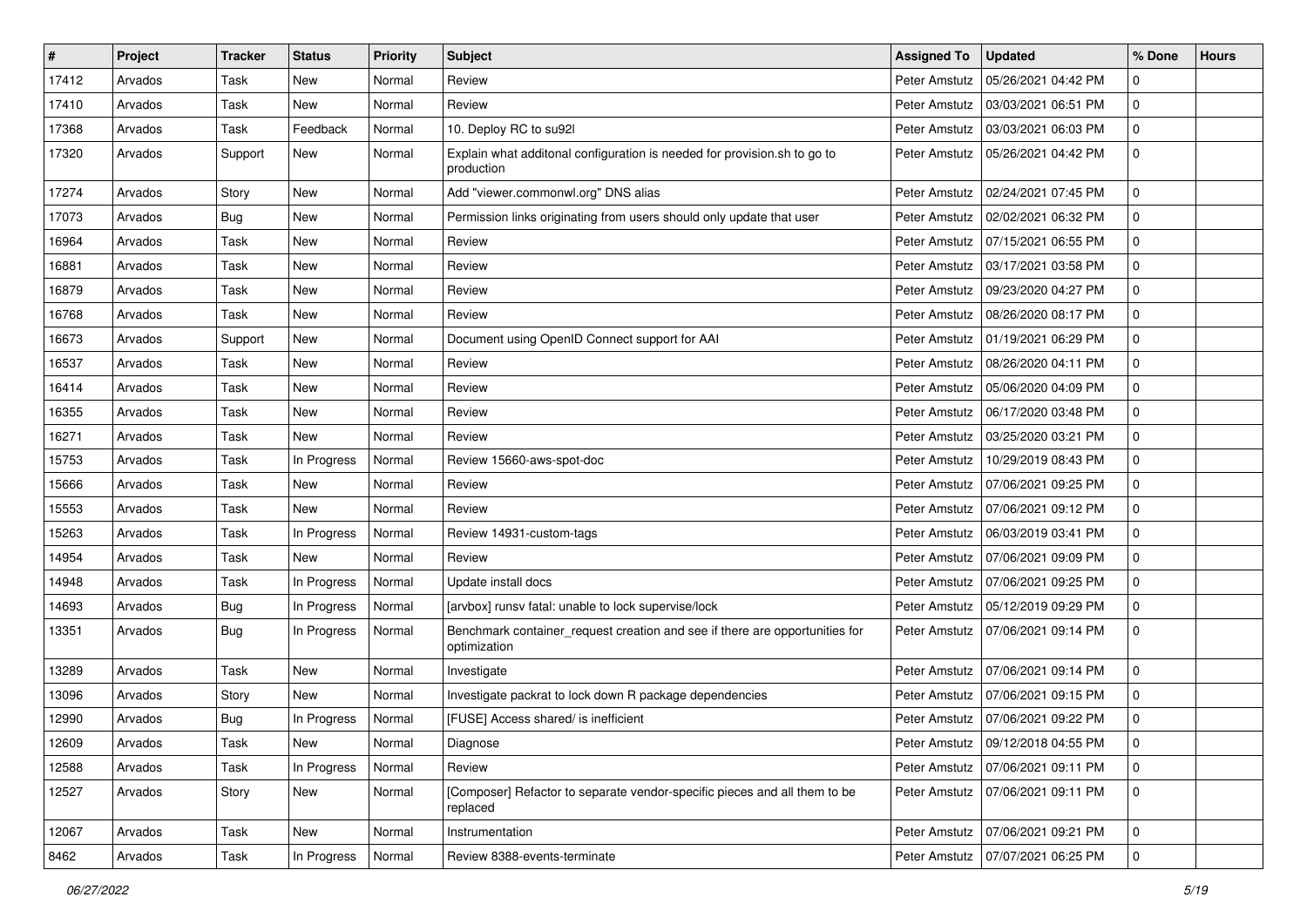| #     | Project | <b>Tracker</b> | <b>Status</b> | <b>Priority</b> | Subject                                                                                     | <b>Assigned To</b> | <b>Updated</b>                      | % Done      | <b>Hours</b> |
|-------|---------|----------------|---------------|-----------------|---------------------------------------------------------------------------------------------|--------------------|-------------------------------------|-------------|--------------|
| 17412 | Arvados | Task           | <b>New</b>    | Normal          | Review                                                                                      | Peter Amstutz      | 05/26/2021 04:42 PM                 | 0           |              |
| 17410 | Arvados | Task           | <b>New</b>    | Normal          | Review                                                                                      | Peter Amstutz      | 03/03/2021 06:51 PM                 | 0           |              |
| 17368 | Arvados | Task           | Feedback      | Normal          | 10. Deploy RC to su92l                                                                      | Peter Amstutz      | 03/03/2021 06:03 PM                 | $\mathbf 0$ |              |
| 17320 | Arvados | Support        | New           | Normal          | Explain what additonal configuration is needed for provision.sh to go to<br>production      | Peter Amstutz      | 05/26/2021 04:42 PM                 | 0           |              |
| 17274 | Arvados | Story          | New           | Normal          | Add "viewer.commonwl.org" DNS alias                                                         | Peter Amstutz      | 02/24/2021 07:45 PM                 | 0           |              |
| 17073 | Arvados | <b>Bug</b>     | New           | Normal          | Permission links originating from users should only update that user                        | Peter Amstutz      | 02/02/2021 06:32 PM                 | 0           |              |
| 16964 | Arvados | Task           | New           | Normal          | Review                                                                                      | Peter Amstutz      | 07/15/2021 06:55 PM                 | 0           |              |
| 16881 | Arvados | Task           | <b>New</b>    | Normal          | Review                                                                                      | Peter Amstutz      | 03/17/2021 03:58 PM                 | 0           |              |
| 16879 | Arvados | Task           | <b>New</b>    | Normal          | Review                                                                                      | Peter Amstutz      | 09/23/2020 04:27 PM                 | 0           |              |
| 16768 | Arvados | Task           | <b>New</b>    | Normal          | Review                                                                                      | Peter Amstutz      | 08/26/2020 08:17 PM                 | 0           |              |
| 16673 | Arvados | Support        | <b>New</b>    | Normal          | Document using OpenID Connect support for AAI                                               | Peter Amstutz      | 01/19/2021 06:29 PM                 | 0           |              |
| 16537 | Arvados | Task           | New           | Normal          | Review                                                                                      | Peter Amstutz      | 08/26/2020 04:11 PM                 | 0           |              |
| 16414 | Arvados | Task           | <b>New</b>    | Normal          | Review                                                                                      | Peter Amstutz      | 05/06/2020 04:09 PM                 | 0           |              |
| 16355 | Arvados | Task           | <b>New</b>    | Normal          | Review                                                                                      | Peter Amstutz      | 06/17/2020 03:48 PM                 | 0           |              |
| 16271 | Arvados | Task           | New           | Normal          | Review                                                                                      | Peter Amstutz      | 03/25/2020 03:21 PM                 | $\mathbf 0$ |              |
| 15753 | Arvados | Task           | In Progress   | Normal          | Review 15660-aws-spot-doc                                                                   | Peter Amstutz      | 10/29/2019 08:43 PM                 | 0           |              |
| 15666 | Arvados | Task           | <b>New</b>    | Normal          | Review                                                                                      | Peter Amstutz      | 07/06/2021 09:25 PM                 | 0           |              |
| 15553 | Arvados | Task           | New           | Normal          | Review                                                                                      | Peter Amstutz      | 07/06/2021 09:12 PM                 | 0           |              |
| 15263 | Arvados | Task           | In Progress   | Normal          | Review 14931-custom-tags                                                                    | Peter Amstutz      | 06/03/2019 03:41 PM                 | 0           |              |
| 14954 | Arvados | Task           | New           | Normal          | Review                                                                                      | Peter Amstutz      | 07/06/2021 09:09 PM                 | $\mathbf 0$ |              |
| 14948 | Arvados | Task           | In Progress   | Normal          | Update install docs                                                                         | Peter Amstutz      | 07/06/2021 09:25 PM                 | 0           |              |
| 14693 | Arvados | <b>Bug</b>     | In Progress   | Normal          | [arvbox] runsv fatal: unable to lock supervise/lock                                         | Peter Amstutz      | 05/12/2019 09:29 PM                 | 0           |              |
| 13351 | Arvados | Bug            | In Progress   | Normal          | Benchmark container_request creation and see if there are opportunities for<br>optimization | Peter Amstutz      | 07/06/2021 09:14 PM                 | 0           |              |
| 13289 | Arvados | Task           | New           | Normal          | Investigate                                                                                 | Peter Amstutz      | 07/06/2021 09:14 PM                 | 0           |              |
| 13096 | Arvados | Story          | New           | Normal          | Investigate packrat to lock down R package dependencies                                     | Peter Amstutz      | 07/06/2021 09:15 PM                 | 0           |              |
| 12990 | Arvados | <b>Bug</b>     | In Progress   | Normal          | [FUSE] Access shared/ is inefficient                                                        | Peter Amstutz      | 07/06/2021 09:22 PM                 | 0           |              |
| 12609 | Arvados | Task           | New           | Normal          | Diagnose                                                                                    |                    | Peter Amstutz   09/12/2018 04:55 PM | 0           |              |
| 12588 | Arvados | Task           | In Progress   | Normal          | Review                                                                                      | Peter Amstutz      | 07/06/2021 09:11 PM                 | 0           |              |
| 12527 | Arvados | Story          | New           | Normal          | [Composer] Refactor to separate vendor-specific pieces and all them to be<br>replaced       | Peter Amstutz      | 07/06/2021 09:11 PM                 | $\mathsf 0$ |              |
| 12067 | Arvados | Task           | New           | Normal          | Instrumentation                                                                             | Peter Amstutz      | 07/06/2021 09:21 PM                 | 0           |              |
| 8462  | Arvados | Task           | In Progress   | Normal          | Review 8388-events-terminate                                                                | Peter Amstutz      | 07/07/2021 06:25 PM                 | $\mathbf 0$ |              |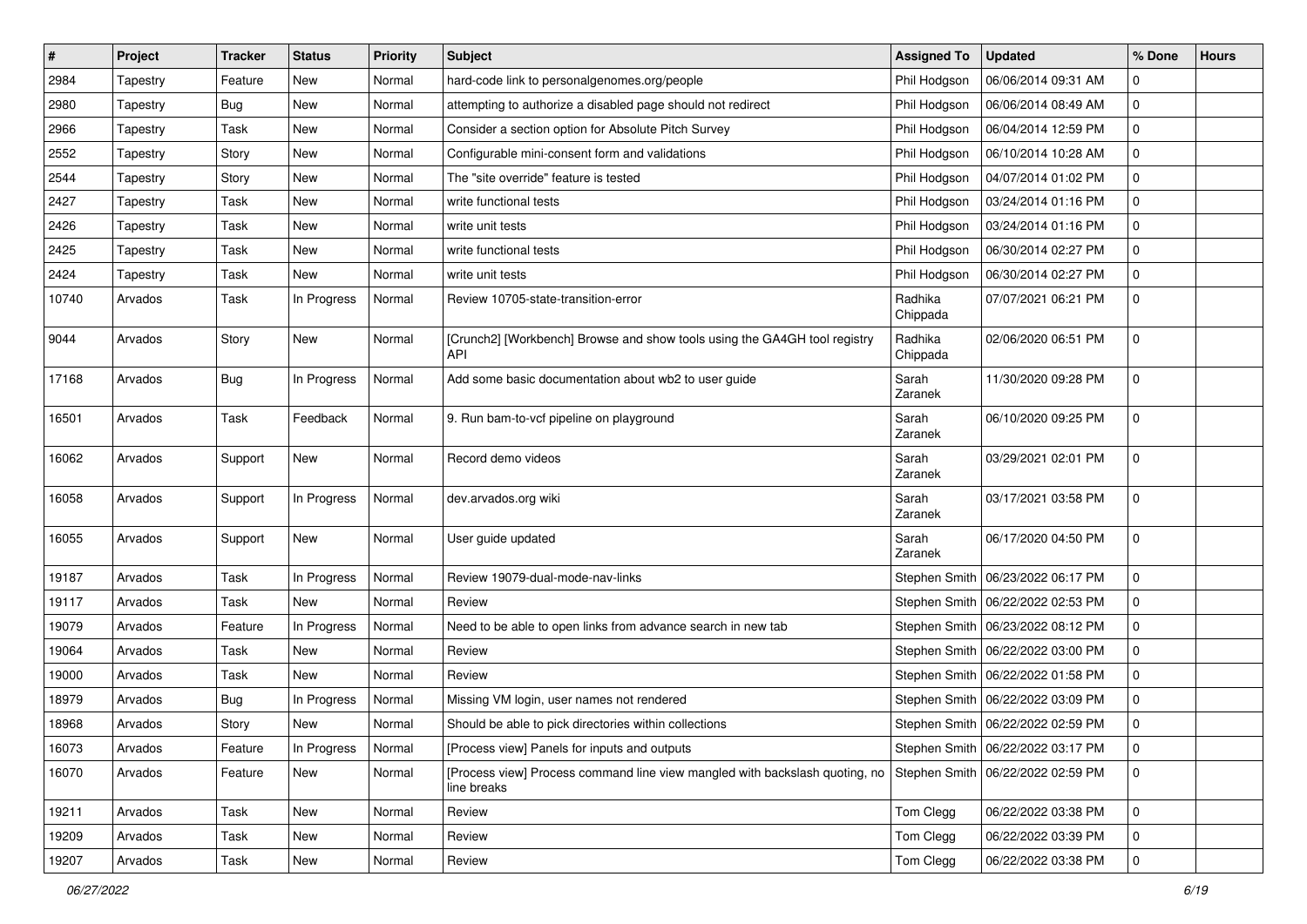| $\vert$ # | Project  | <b>Tracker</b> | <b>Status</b> | <b>Priority</b> | <b>Subject</b>                                                                                                               | <b>Assigned To</b>  | <b>Updated</b>                      | % Done       | <b>Hours</b> |
|-----------|----------|----------------|---------------|-----------------|------------------------------------------------------------------------------------------------------------------------------|---------------------|-------------------------------------|--------------|--------------|
| 2984      | Tapestry | Feature        | New           | Normal          | hard-code link to personalgenomes.org/people                                                                                 | Phil Hodgson        | 06/06/2014 09:31 AM                 | 0            |              |
| 2980      | Tapestry | Bug            | <b>New</b>    | Normal          | attempting to authorize a disabled page should not redirect                                                                  | Phil Hodgson        | 06/06/2014 08:49 AM                 | 0            |              |
| 2966      | Tapestry | Task           | New           | Normal          | Consider a section option for Absolute Pitch Survey                                                                          | Phil Hodgson        | 06/04/2014 12:59 PM                 | 0            |              |
| 2552      | Tapestry | Story          | New           | Normal          | Configurable mini-consent form and validations                                                                               | Phil Hodgson        | 06/10/2014 10:28 AM                 | 0            |              |
| 2544      | Tapestry | Story          | New           | Normal          | The "site override" feature is tested                                                                                        | Phil Hodgson        | 04/07/2014 01:02 PM                 | 0            |              |
| 2427      | Tapestry | Task           | New           | Normal          | write functional tests                                                                                                       | Phil Hodgson        | 03/24/2014 01:16 PM                 | 0            |              |
| 2426      | Tapestry | Task           | New           | Normal          | write unit tests                                                                                                             | Phil Hodgson        | 03/24/2014 01:16 PM                 | 0            |              |
| 2425      | Tapestry | Task           | New           | Normal          | write functional tests                                                                                                       | Phil Hodgson        | 06/30/2014 02:27 PM                 | 0            |              |
| 2424      | Tapestry | Task           | New           | Normal          | write unit tests                                                                                                             | Phil Hodgson        | 06/30/2014 02:27 PM                 | 0            |              |
| 10740     | Arvados  | Task           | In Progress   | Normal          | Review 10705-state-transition-error                                                                                          | Radhika<br>Chippada | 07/07/2021 06:21 PM                 | 0            |              |
| 9044      | Arvados  | Story          | New           | Normal          | [Crunch2] [Workbench] Browse and show tools using the GA4GH tool registry<br><b>API</b>                                      | Radhika<br>Chippada | 02/06/2020 06:51 PM                 | 0            |              |
| 17168     | Arvados  | <b>Bug</b>     | In Progress   | Normal          | Add some basic documentation about wb2 to user guide                                                                         | Sarah<br>Zaranek    | 11/30/2020 09:28 PM                 | 0            |              |
| 16501     | Arvados  | Task           | Feedback      | Normal          | 9. Run bam-to-vcf pipeline on playground                                                                                     | Sarah<br>Zaranek    | 06/10/2020 09:25 PM                 | 0            |              |
| 16062     | Arvados  | Support        | <b>New</b>    | Normal          | Record demo videos                                                                                                           | Sarah<br>Zaranek    | 03/29/2021 02:01 PM                 | $\mathbf 0$  |              |
| 16058     | Arvados  | Support        | In Progress   | Normal          | dev.arvados.org wiki                                                                                                         | Sarah<br>Zaranek    | 03/17/2021 03:58 PM                 | 0            |              |
| 16055     | Arvados  | Support        | New           | Normal          | User guide updated                                                                                                           | Sarah<br>Zaranek    | 06/17/2020 04:50 PM                 | 0            |              |
| 19187     | Arvados  | Task           | In Progress   | Normal          | Review 19079-dual-mode-nav-links                                                                                             | Stephen Smith       | 06/23/2022 06:17 PM                 | 0            |              |
| 19117     | Arvados  | Task           | New           | Normal          | Review                                                                                                                       | Stephen Smith       | 06/22/2022 02:53 PM                 | 0            |              |
| 19079     | Arvados  | Feature        | In Progress   | Normal          | Need to be able to open links from advance search in new tab                                                                 |                     | Stephen Smith   06/23/2022 08:12 PM | 0            |              |
| 19064     | Arvados  | Task           | New           | Normal          | Review                                                                                                                       |                     | Stephen Smith   06/22/2022 03:00 PM | 0            |              |
| 19000     | Arvados  | Task           | <b>New</b>    | Normal          | Review                                                                                                                       | Stephen Smith       | 06/22/2022 01:58 PM                 | 0            |              |
| 18979     | Arvados  | <b>Bug</b>     | In Progress   | Normal          | Missing VM login, user names not rendered                                                                                    | Stephen Smith       | 06/22/2022 03:09 PM                 | 0            |              |
| 18968     | Arvados  | Story          | New           | Normal          | Should be able to pick directories within collections                                                                        |                     | Stephen Smith   06/22/2022 02:59 PM | 0            |              |
| 16073     | Arvados  | Feature        | In Progress   | Normal          | [Process view] Panels for inputs and outputs                                                                                 |                     | Stephen Smith   06/22/2022 03:17 PM | 0            |              |
| 16070     | Arvados  | Feature        | New           | Normal          | [Process view] Process command line view mangled with backslash quoting, no Stephen Smith 06/22/2022 02:59 PM<br>line breaks |                     |                                     | $\mathbf{0}$ |              |
| 19211     | Arvados  | Task           | New           | Normal          | Review                                                                                                                       | Tom Clegg           | 06/22/2022 03:38 PM                 | $\mathbf 0$  |              |
| 19209     | Arvados  | Task           | New           | Normal          | Review                                                                                                                       | Tom Clegg           | 06/22/2022 03:39 PM                 | 0            |              |
| 19207     | Arvados  | Task           | New           | Normal          | Review                                                                                                                       | Tom Clegg           | 06/22/2022 03:38 PM                 | 0            |              |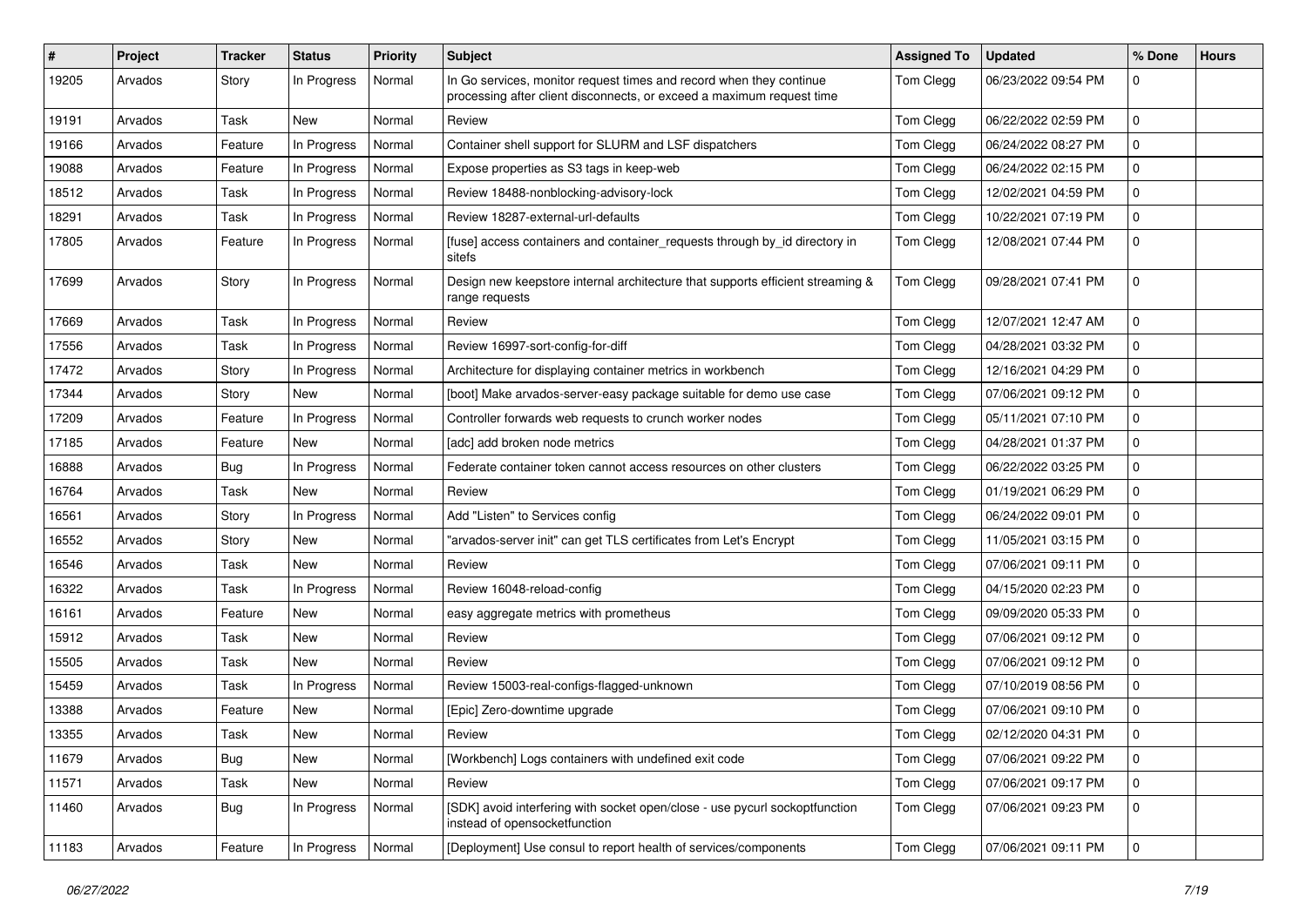| ∦     | Project | <b>Tracker</b> | <b>Status</b> | <b>Priority</b> | <b>Subject</b>                                                                                                                               | <b>Assigned To</b> | <b>Updated</b>      | % Done         | <b>Hours</b> |
|-------|---------|----------------|---------------|-----------------|----------------------------------------------------------------------------------------------------------------------------------------------|--------------------|---------------------|----------------|--------------|
| 19205 | Arvados | Story          | In Progress   | Normal          | In Go services, monitor request times and record when they continue<br>processing after client disconnects, or exceed a maximum request time | Tom Clegg          | 06/23/2022 09:54 PM | 0              |              |
| 19191 | Arvados | Task           | New           | Normal          | Review                                                                                                                                       | Tom Clegg          | 06/22/2022 02:59 PM | 0              |              |
| 19166 | Arvados | Feature        | In Progress   | Normal          | Container shell support for SLURM and LSF dispatchers                                                                                        | Tom Clegg          | 06/24/2022 08:27 PM | 0              |              |
| 19088 | Arvados | Feature        | In Progress   | Normal          | Expose properties as S3 tags in keep-web                                                                                                     | Tom Clegg          | 06/24/2022 02:15 PM | 0              |              |
| 18512 | Arvados | Task           | In Progress   | Normal          | Review 18488-nonblocking-advisory-lock                                                                                                       | Tom Clegg          | 12/02/2021 04:59 PM | 0              |              |
| 18291 | Arvados | Task           | In Progress   | Normal          | Review 18287-external-url-defaults                                                                                                           | Tom Clegg          | 10/22/2021 07:19 PM | 0              |              |
| 17805 | Arvados | Feature        | In Progress   | Normal          | [fuse] access containers and container_requests through by_id directory in<br>sitefs                                                         | Tom Clegg          | 12/08/2021 07:44 PM | 0              |              |
| 17699 | Arvados | Story          | In Progress   | Normal          | Design new keepstore internal architecture that supports efficient streaming &<br>range requests                                             | Tom Clegg          | 09/28/2021 07:41 PM | 0              |              |
| 17669 | Arvados | Task           | In Progress   | Normal          | Review                                                                                                                                       | Tom Clegg          | 12/07/2021 12:47 AM | 0              |              |
| 17556 | Arvados | Task           | In Progress   | Normal          | Review 16997-sort-config-for-diff                                                                                                            | Tom Clegg          | 04/28/2021 03:32 PM | 0              |              |
| 17472 | Arvados | Story          | In Progress   | Normal          | Architecture for displaying container metrics in workbench                                                                                   | Tom Clegg          | 12/16/2021 04:29 PM | 0              |              |
| 17344 | Arvados | Story          | New           | Normal          | [boot] Make arvados-server-easy package suitable for demo use case                                                                           | Tom Clegg          | 07/06/2021 09:12 PM | 0              |              |
| 17209 | Arvados | Feature        | In Progress   | Normal          | Controller forwards web requests to crunch worker nodes                                                                                      | Tom Clegg          | 05/11/2021 07:10 PM | 0              |              |
| 17185 | Arvados | Feature        | New           | Normal          | [adc] add broken node metrics                                                                                                                | Tom Clegg          | 04/28/2021 01:37 PM | 0              |              |
| 16888 | Arvados | Bug            | In Progress   | Normal          | Federate container token cannot access resources on other clusters                                                                           | Tom Clegg          | 06/22/2022 03:25 PM | 0              |              |
| 16764 | Arvados | Task           | New           | Normal          | Review                                                                                                                                       | Tom Clegg          | 01/19/2021 06:29 PM | $\mathbf 0$    |              |
| 16561 | Arvados | Story          | In Progress   | Normal          | Add "Listen" to Services config                                                                                                              | Tom Clegg          | 06/24/2022 09:01 PM | 0              |              |
| 16552 | Arvados | Story          | New           | Normal          | "arvados-server init" can get TLS certificates from Let's Encrypt                                                                            | Tom Clegg          | 11/05/2021 03:15 PM | 0              |              |
| 16546 | Arvados | Task           | New           | Normal          | Review                                                                                                                                       | Tom Clegg          | 07/06/2021 09:11 PM | 0              |              |
| 16322 | Arvados | Task           | In Progress   | Normal          | Review 16048-reload-config                                                                                                                   | Tom Clegg          | 04/15/2020 02:23 PM | 0              |              |
| 16161 | Arvados | Feature        | New           | Normal          | easy aggregate metrics with prometheus                                                                                                       | Tom Clegg          | 09/09/2020 05:33 PM | 0              |              |
| 15912 | Arvados | Task           | New           | Normal          | Review                                                                                                                                       | Tom Clegg          | 07/06/2021 09:12 PM | 0              |              |
| 15505 | Arvados | Task           | <b>New</b>    | Normal          | Review                                                                                                                                       | Tom Clegg          | 07/06/2021 09:12 PM | 0              |              |
| 15459 | Arvados | Task           | In Progress   | Normal          | Review 15003-real-configs-flagged-unknown                                                                                                    | Tom Clegg          | 07/10/2019 08:56 PM | 0              |              |
| 13388 | Arvados | Feature        | New           | Normal          | [Epic] Zero-downtime upgrade                                                                                                                 | Tom Clegg          | 07/06/2021 09:10 PM | 0              |              |
| 13355 | Arvados | Task           | New           | Normal          | Review                                                                                                                                       | Tom Clegg          | 02/12/2020 04:31 PM | $\mathbf 0$    |              |
| 11679 | Arvados | Bug            | New           | Normal          | [Workbench] Logs containers with undefined exit code                                                                                         | Tom Clegg          | 07/06/2021 09:22 PM | $\mathbf 0$    |              |
| 11571 | Arvados | Task           | New           | Normal          | Review                                                                                                                                       | Tom Clegg          | 07/06/2021 09:17 PM | $\overline{0}$ |              |
| 11460 | Arvados | Bug            | In Progress   | Normal          | [SDK] avoid interfering with socket open/close - use pycurl sockoptfunction<br>instead of opensocketfunction                                 | Tom Clegg          | 07/06/2021 09:23 PM | $\mathbf 0$    |              |
| 11183 | Arvados | Feature        | In Progress   | Normal          | [Deployment] Use consul to report health of services/components                                                                              | Tom Clegg          | 07/06/2021 09:11 PM | $\overline{0}$ |              |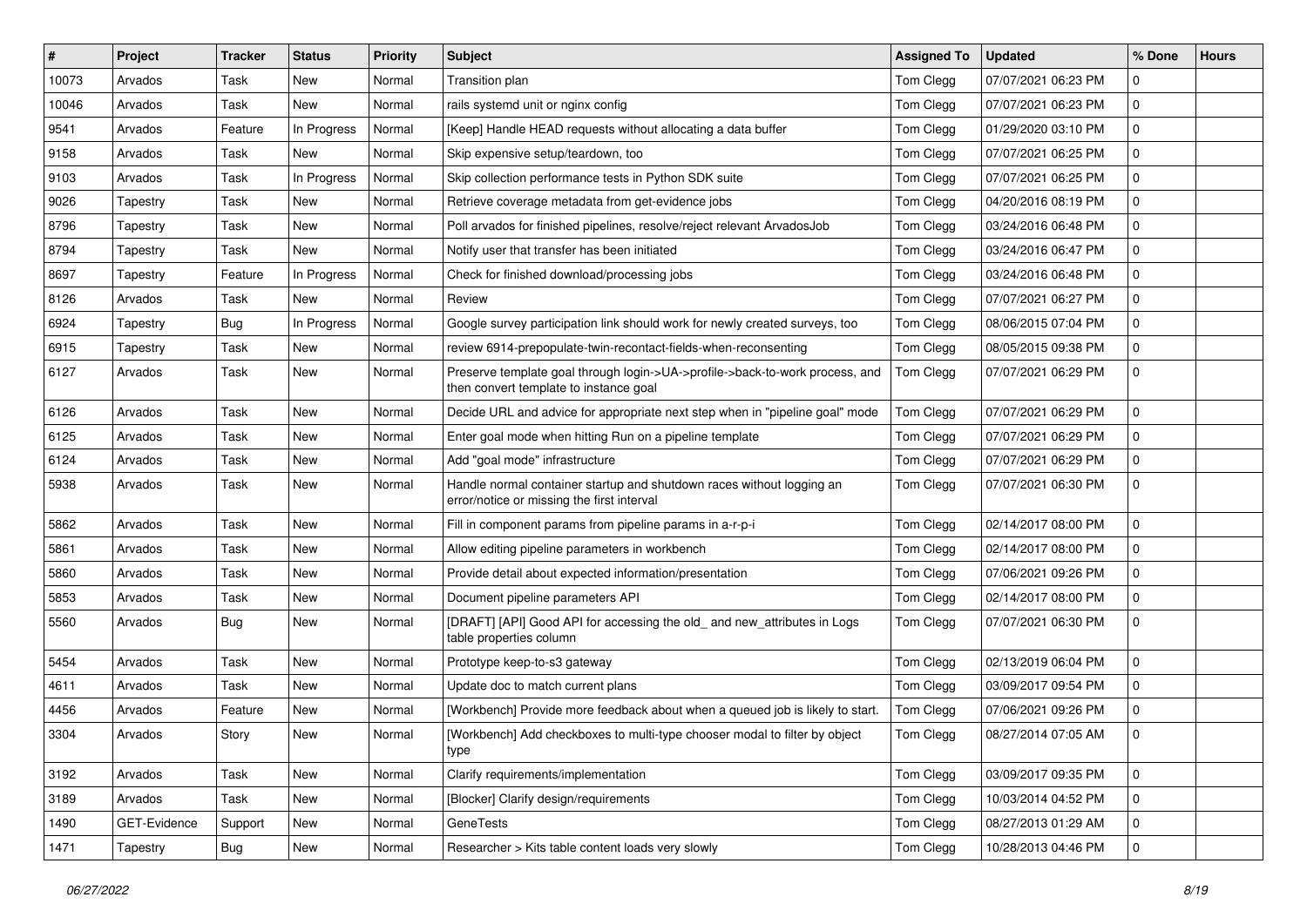| #     | Project      | <b>Tracker</b> | <b>Status</b> | Priority | <b>Subject</b>                                                                                                         | <b>Assigned To</b> | <b>Updated</b>      | % Done         | <b>Hours</b> |
|-------|--------------|----------------|---------------|----------|------------------------------------------------------------------------------------------------------------------------|--------------------|---------------------|----------------|--------------|
| 10073 | Arvados      | Task           | New           | Normal   | Transition plan                                                                                                        | Tom Clegg          | 07/07/2021 06:23 PM | 0              |              |
| 10046 | Arvados      | Task           | New           | Normal   | rails systemd unit or nginx config                                                                                     | Tom Clegg          | 07/07/2021 06:23 PM | 0              |              |
| 9541  | Arvados      | Feature        | In Progress   | Normal   | [Keep] Handle HEAD requests without allocating a data buffer                                                           | Tom Clegg          | 01/29/2020 03:10 PM | 0              |              |
| 9158  | Arvados      | Task           | New           | Normal   | Skip expensive setup/teardown, too                                                                                     | Tom Clegg          | 07/07/2021 06:25 PM | 0              |              |
| 9103  | Arvados      | Task           | In Progress   | Normal   | Skip collection performance tests in Python SDK suite                                                                  | Tom Clegg          | 07/07/2021 06:25 PM | 0              |              |
| 9026  | Tapestry     | Task           | New           | Normal   | Retrieve coverage metadata from get-evidence jobs                                                                      | Tom Clegg          | 04/20/2016 08:19 PM | 0              |              |
| 8796  | Tapestry     | Task           | New           | Normal   | Poll arvados for finished pipelines, resolve/reject relevant ArvadosJob                                                | Tom Clegg          | 03/24/2016 06:48 PM | 0              |              |
| 8794  | Tapestry     | Task           | New           | Normal   | Notify user that transfer has been initiated                                                                           | Tom Clegg          | 03/24/2016 06:47 PM | 0              |              |
| 8697  | Tapestry     | Feature        | In Progress   | Normal   | Check for finished download/processing jobs                                                                            | Tom Clegg          | 03/24/2016 06:48 PM | 0              |              |
| 8126  | Arvados      | Task           | New           | Normal   | Review                                                                                                                 | Tom Clegg          | 07/07/2021 06:27 PM | 0              |              |
| 6924  | Tapestry     | Bug            | In Progress   | Normal   | Google survey participation link should work for newly created surveys, too                                            | Tom Clegg          | 08/06/2015 07:04 PM | 0              |              |
| 6915  | Tapestry     | Task           | New           | Normal   | review 6914-prepopulate-twin-recontact-fields-when-reconsenting                                                        | Tom Clegg          | 08/05/2015 09:38 PM | 0              |              |
| 6127  | Arvados      | Task           | New           | Normal   | Preserve template goal through login->UA->profile->back-to-work process, and<br>then convert template to instance goal | Tom Clegg          | 07/07/2021 06:29 PM | $\mathbf 0$    |              |
| 6126  | Arvados      | Task           | New           | Normal   | Decide URL and advice for appropriate next step when in "pipeline goal" mode                                           | Tom Clegg          | 07/07/2021 06:29 PM | 0              |              |
| 6125  | Arvados      | Task           | New           | Normal   | Enter goal mode when hitting Run on a pipeline template                                                                | Tom Clegg          | 07/07/2021 06:29 PM | 0              |              |
| 6124  | Arvados      | Task           | New           | Normal   | Add "goal mode" infrastructure                                                                                         | Tom Clegg          | 07/07/2021 06:29 PM | 0              |              |
| 5938  | Arvados      | Task           | New           | Normal   | Handle normal container startup and shutdown races without logging an<br>error/notice or missing the first interval    | Tom Clegg          | 07/07/2021 06:30 PM | $\Omega$       |              |
| 5862  | Arvados      | Task           | New           | Normal   | Fill in component params from pipeline params in a-r-p-i                                                               | Tom Clegg          | 02/14/2017 08:00 PM | 0              |              |
| 5861  | Arvados      | Task           | New           | Normal   | Allow editing pipeline parameters in workbench                                                                         | Tom Clegg          | 02/14/2017 08:00 PM | 0              |              |
| 5860  | Arvados      | Task           | New           | Normal   | Provide detail about expected information/presentation                                                                 | Tom Clegg          | 07/06/2021 09:26 PM | 0              |              |
| 5853  | Arvados      | Task           | New           | Normal   | Document pipeline parameters API                                                                                       | Tom Clegg          | 02/14/2017 08:00 PM | 0              |              |
| 5560  | Arvados      | Bug            | New           | Normal   | [DRAFT] [API] Good API for accessing the old_ and new_attributes in Logs<br>table properties column                    | Tom Clegg          | 07/07/2021 06:30 PM | $\Omega$       |              |
| 5454  | Arvados      | Task           | <b>New</b>    | Normal   | Prototype keep-to-s3 gateway                                                                                           | Tom Clegg          | 02/13/2019 06:04 PM | 0              |              |
| 4611  | Arvados      | Task           | New           | Normal   | Update doc to match current plans                                                                                      | Tom Clegg          | 03/09/2017 09:54 PM | 0              |              |
| 4456  | Arvados      | Feature        | New           | Normal   | [Workbench] Provide more feedback about when a queued job is likely to start.                                          | Tom Clegg          | 07/06/2021 09:26 PM | 0              |              |
| 3304  | Arvados      | Story          | New           | Normal   | [Workbench] Add checkboxes to multi-type chooser modal to filter by object<br>type                                     | Tom Clegg          | 08/27/2014 07:05 AM | 0              |              |
| 3192  | Arvados      | Task           | New           | Normal   | Clarify requirements/implementation                                                                                    | Tom Clegg          | 03/09/2017 09:35 PM | $\mathbf 0$    |              |
| 3189  | Arvados      | Task           | New           | Normal   | [Blocker] Clarify design/requirements                                                                                  | Tom Clegg          | 10/03/2014 04:52 PM | $\mathbf 0$    |              |
| 1490  | GET-Evidence | Support        | New           | Normal   | <b>GeneTests</b>                                                                                                       | Tom Clegg          | 08/27/2013 01:29 AM | 0              |              |
| 1471  | Tapestry     | <b>Bug</b>     | New           | Normal   | Researcher > Kits table content loads very slowly                                                                      | Tom Clegg          | 10/28/2013 04:46 PM | $\overline{0}$ |              |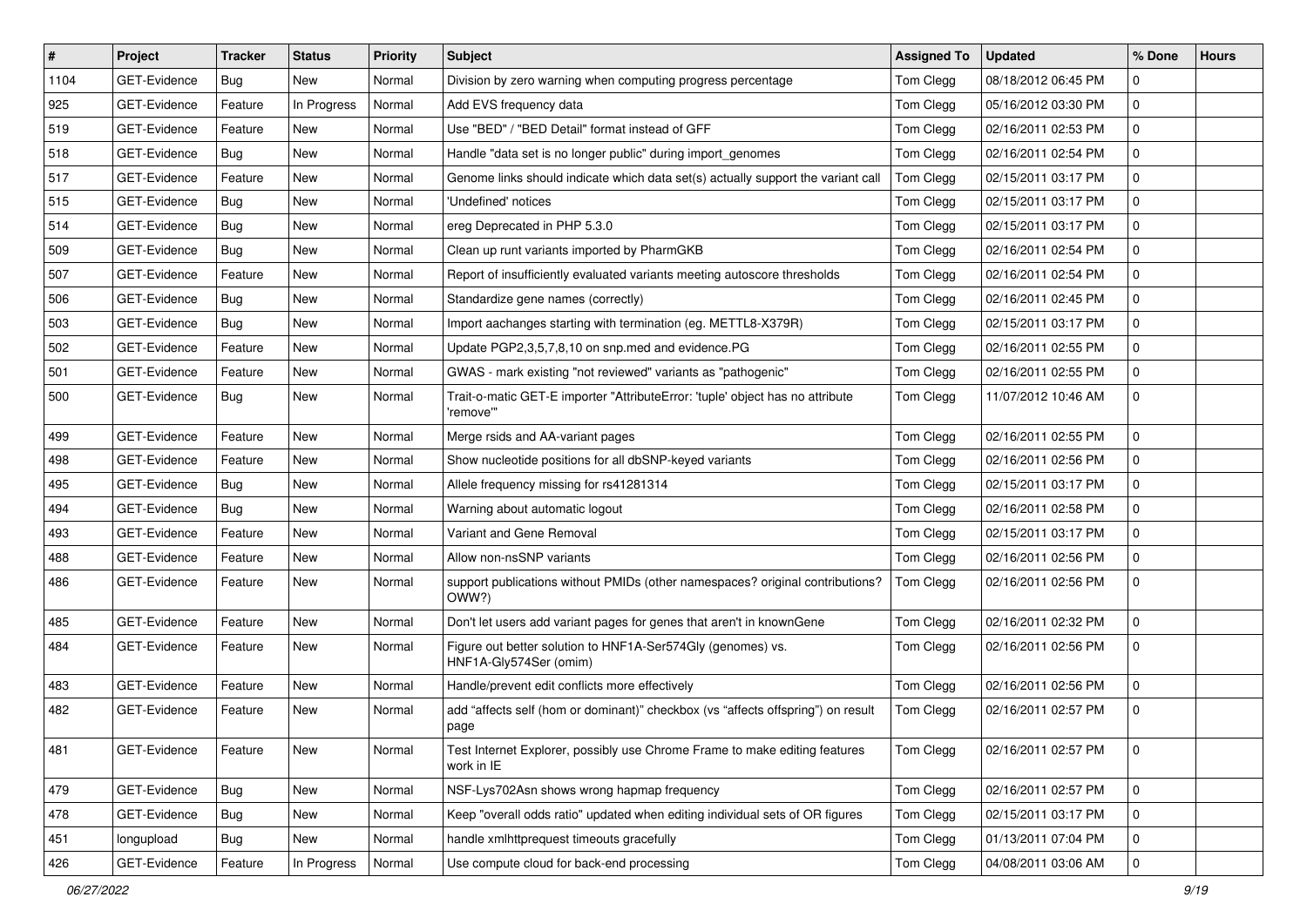| $\vert$ # | Project             | Tracker    | <b>Status</b> | <b>Priority</b> | <b>Subject</b>                                                                             | <b>Assigned To</b> | <b>Updated</b>      | % Done | <b>Hours</b> |
|-----------|---------------------|------------|---------------|-----------------|--------------------------------------------------------------------------------------------|--------------------|---------------------|--------|--------------|
| 1104      | GET-Evidence        | Bug        | New           | Normal          | Division by zero warning when computing progress percentage                                | Tom Clegg          | 08/18/2012 06:45 PM | 0      |              |
| 925       | GET-Evidence        | Feature    | In Progress   | Normal          | Add EVS frequency data                                                                     | Tom Clegg          | 05/16/2012 03:30 PM | 0      |              |
| 519       | GET-Evidence        | Feature    | New           | Normal          | Use "BED" / "BED Detail" format instead of GFF                                             | Tom Clegg          | 02/16/2011 02:53 PM | 0      |              |
| 518       | GET-Evidence        | Bug        | <b>New</b>    | Normal          | Handle "data set is no longer public" during import genomes                                | Tom Clegg          | 02/16/2011 02:54 PM | 0      |              |
| 517       | GET-Evidence        | Feature    | <b>New</b>    | Normal          | Genome links should indicate which data set(s) actually support the variant call           | Tom Clegg          | 02/15/2011 03:17 PM | 0      |              |
| 515       | GET-Evidence        | Bug        | <b>New</b>    | Normal          | 'Undefined' notices                                                                        | Tom Clegg          | 02/15/2011 03:17 PM | 0      |              |
| 514       | GET-Evidence        | Bug        | New           | Normal          | ereg Deprecated in PHP 5.3.0                                                               | Tom Clegg          | 02/15/2011 03:17 PM | 0      |              |
| 509       | <b>GET-Evidence</b> | Bug        | New           | Normal          | Clean up runt variants imported by PharmGKB                                                | Tom Clegg          | 02/16/2011 02:54 PM | 0      |              |
| 507       | GET-Evidence        | Feature    | <b>New</b>    | Normal          | Report of insufficiently evaluated variants meeting autoscore thresholds                   | Tom Clegg          | 02/16/2011 02:54 PM | 0      |              |
| 506       | GET-Evidence        | Bug        | <b>New</b>    | Normal          | Standardize gene names (correctly)                                                         | Tom Clegg          | 02/16/2011 02:45 PM | 0      |              |
| 503       | GET-Evidence        | Bug        | New           | Normal          | Import aachanges starting with termination (eg. METTL8-X379R)                              | Tom Clegg          | 02/15/2011 03:17 PM | 0      |              |
| 502       | GET-Evidence        | Feature    | New           | Normal          | Update PGP2,3,5,7,8,10 on snp.med and evidence.PG                                          | Tom Clegg          | 02/16/2011 02:55 PM | 0      |              |
| 501       | GET-Evidence        | Feature    | New           | Normal          | GWAS - mark existing "not reviewed" variants as "pathogenic"                               | Tom Clegg          | 02/16/2011 02:55 PM | 0      |              |
| 500       | <b>GET-Evidence</b> | Bug        | New           | Normal          | Trait-o-matic GET-E importer "AttributeError: 'tuple' object has no attribute<br>'remove'" | Tom Clegg          | 11/07/2012 10:46 AM | 0      |              |
| 499       | GET-Evidence        | Feature    | <b>New</b>    | Normal          | Merge rsids and AA-variant pages                                                           | Tom Clegg          | 02/16/2011 02:55 PM | 0      |              |
| 498       | <b>GET-Evidence</b> | Feature    | New           | Normal          | Show nucleotide positions for all dbSNP-keyed variants                                     | Tom Clegg          | 02/16/2011 02:56 PM | 0      |              |
| 495       | GET-Evidence        | Bug        | <b>New</b>    | Normal          | Allele frequency missing for rs41281314                                                    | Tom Clegg          | 02/15/2011 03:17 PM | 0      |              |
| 494       | GET-Evidence        | Bug        | New           | Normal          | Warning about automatic logout                                                             | Tom Clegg          | 02/16/2011 02:58 PM | 0      |              |
| 493       | GET-Evidence        | Feature    | <b>New</b>    | Normal          | Variant and Gene Removal                                                                   | Tom Clegg          | 02/15/2011 03:17 PM | 0      |              |
| 488       | GET-Evidence        | Feature    | New           | Normal          | Allow non-nsSNP variants                                                                   | Tom Clegg          | 02/16/2011 02:56 PM | 0      |              |
| 486       | GET-Evidence        | Feature    | New           | Normal          | support publications without PMIDs (other namespaces? original contributions?<br>OWW?)     | Tom Clegg          | 02/16/2011 02:56 PM | 0      |              |
| 485       | GET-Evidence        | Feature    | New           | Normal          | Don't let users add variant pages for genes that aren't in knownGene                       | Tom Clegg          | 02/16/2011 02:32 PM | 0      |              |
| 484       | GET-Evidence        | Feature    | New           | Normal          | Figure out better solution to HNF1A-Ser574Gly (genomes) vs.<br>HNF1A-Gly574Ser (omim)      | Tom Clegg          | 02/16/2011 02:56 PM | 0      |              |
| 483       | GET-Evidence        | Feature    | New           | Normal          | Handle/prevent edit conflicts more effectively                                             | Tom Clegg          | 02/16/2011 02:56 PM | 0      |              |
| 482       | GET-Evidence        | Feature    | New           | Normal          | add "affects self (hom or dominant)" checkbox (vs "affects offspring") on result<br>page   | Tom Clegg          | 02/16/2011 02:57 PM | 0      |              |
| 481       | GET-Evidence        | Feature    | New           | Normal          | Test Internet Explorer, possibly use Chrome Frame to make editing features<br>work in IE   | Tom Clegg          | 02/16/2011 02:57 PM | 0      |              |
| 479       | GET-Evidence        | Bug        | New           | Normal          | NSF-Lys702Asn shows wrong hapmap frequency                                                 | Tom Clegg          | 02/16/2011 02:57 PM | 0      |              |
| 478       | GET-Evidence        | Bug        | New           | Normal          | Keep "overall odds ratio" updated when editing individual sets of OR figures               | Tom Clegg          | 02/15/2011 03:17 PM | 0      |              |
| 451       | longupload          | <b>Bug</b> | New           | Normal          | handle xmlhttprequest timeouts gracefully                                                  | Tom Clegg          | 01/13/2011 07:04 PM | 0      |              |
| 426       | GET-Evidence        | Feature    | In Progress   | Normal          | Use compute cloud for back-end processing                                                  | Tom Clegg          | 04/08/2011 03:06 AM | 0      |              |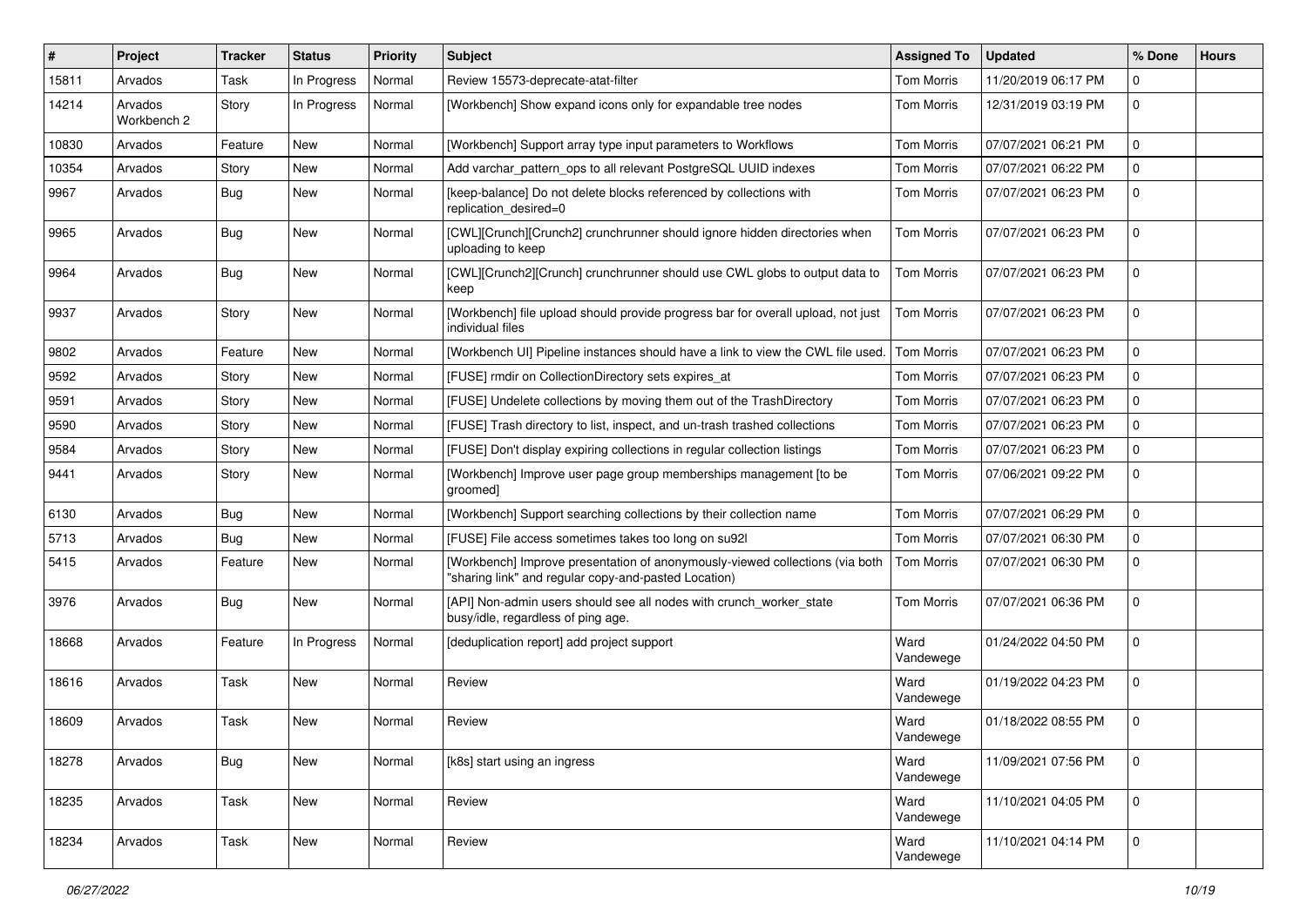| #     | Project                | <b>Tracker</b> | <b>Status</b> | <b>Priority</b> | Subject                                                                                                                              | <b>Assigned To</b> | <b>Updated</b>      | % Done      | <b>Hours</b> |
|-------|------------------------|----------------|---------------|-----------------|--------------------------------------------------------------------------------------------------------------------------------------|--------------------|---------------------|-------------|--------------|
| 15811 | Arvados                | Task           | In Progress   | Normal          | Review 15573-deprecate-atat-filter                                                                                                   | Tom Morris         | 11/20/2019 06:17 PM | 0           |              |
| 14214 | Arvados<br>Workbench 2 | Story          | In Progress   | Normal          | [Workbench] Show expand icons only for expandable tree nodes                                                                         | Tom Morris         | 12/31/2019 03:19 PM | 0           |              |
| 10830 | Arvados                | Feature        | New           | Normal          | [Workbench] Support array type input parameters to Workflows                                                                         | <b>Tom Morris</b>  | 07/07/2021 06:21 PM | 0           |              |
| 10354 | Arvados                | Story          | <b>New</b>    | Normal          | Add varchar_pattern_ops to all relevant PostgreSQL UUID indexes                                                                      | <b>Tom Morris</b>  | 07/07/2021 06:22 PM | 0           |              |
| 9967  | Arvados                | Bug            | New           | Normal          | [keep-balance] Do not delete blocks referenced by collections with<br>replication_desired=0                                          | Tom Morris         | 07/07/2021 06:23 PM | 0           |              |
| 9965  | Arvados                | Bug            | New           | Normal          | [CWL][Crunch][Crunch2] crunchrunner should ignore hidden directories when<br>uploading to keep                                       | Tom Morris         | 07/07/2021 06:23 PM | 0           |              |
| 9964  | Arvados                | Bug            | New           | Normal          | [CWL][Crunch2][Crunch] crunchrunner should use CWL globs to output data to<br>keep                                                   | Tom Morris         | 07/07/2021 06:23 PM | 0           |              |
| 9937  | Arvados                | Story          | New           | Normal          | [Workbench] file upload should provide progress bar for overall upload, not just<br>individual files                                 | <b>Tom Morris</b>  | 07/07/2021 06:23 PM | 0           |              |
| 9802  | Arvados                | Feature        | New           | Normal          | [Workbench UI] Pipeline instances should have a link to view the CWL file used.                                                      | <b>Tom Morris</b>  | 07/07/2021 06:23 PM | $\mathbf 0$ |              |
| 9592  | Arvados                | Story          | <b>New</b>    | Normal          | [FUSE] rmdir on CollectionDirectory sets expires at                                                                                  | <b>Tom Morris</b>  | 07/07/2021 06:23 PM | 0           |              |
| 9591  | Arvados                | Story          | New           | Normal          | [FUSE] Undelete collections by moving them out of the TrashDirectory                                                                 | <b>Tom Morris</b>  | 07/07/2021 06:23 PM | 0           |              |
| 9590  | Arvados                | Story          | <b>New</b>    | Normal          | [FUSE] Trash directory to list, inspect, and un-trash trashed collections                                                            | <b>Tom Morris</b>  | 07/07/2021 06:23 PM | 0           |              |
| 9584  | Arvados                | Story          | <b>New</b>    | Normal          | [FUSE] Don't display expiring collections in regular collection listings                                                             | Tom Morris         | 07/07/2021 06:23 PM | 0           |              |
| 9441  | Arvados                | Story          | New           | Normal          | [Workbench] Improve user page group memberships management [to be<br>groomed]                                                        | <b>Tom Morris</b>  | 07/06/2021 09:22 PM | 0           |              |
| 6130  | Arvados                | Bug            | <b>New</b>    | Normal          | [Workbench] Support searching collections by their collection name                                                                   | <b>Tom Morris</b>  | 07/07/2021 06:29 PM | 0           |              |
| 5713  | Arvados                | Bug            | New           | Normal          | [FUSE] File access sometimes takes too long on su92l                                                                                 | <b>Tom Morris</b>  | 07/07/2021 06:30 PM | 0           |              |
| 5415  | Arvados                | Feature        | New           | Normal          | [Workbench] Improve presentation of anonymously-viewed collections (via both<br>"sharing link" and regular copy-and-pasted Location) | Tom Morris         | 07/07/2021 06:30 PM | $\Omega$    |              |
| 3976  | Arvados                | Bug            | New           | Normal          | [API] Non-admin users should see all nodes with crunch_worker_state<br>busy/idle, regardless of ping age.                            | <b>Tom Morris</b>  | 07/07/2021 06:36 PM | 0           |              |
| 18668 | Arvados                | Feature        | In Progress   | Normal          | [deduplication report] add project support                                                                                           | Ward<br>Vandewege  | 01/24/2022 04:50 PM | 0           |              |
| 18616 | Arvados                | Task           | New           | Normal          | Review                                                                                                                               | Ward<br>Vandewege  | 01/19/2022 04:23 PM | 0           |              |
| 18609 | Arvados                | Task           | <b>New</b>    | Normal          | Review                                                                                                                               | Ward<br>Vandewege  | 01/18/2022 08:55 PM | 0           |              |
| 18278 | Arvados                | <b>Bug</b>     | New           | Normal          | [k8s] start using an ingress                                                                                                         | Ward<br>Vandewege  | 11/09/2021 07:56 PM | $\mathbf 0$ |              |
| 18235 | Arvados                | Task           | New           | Normal          | Review                                                                                                                               | Ward<br>Vandewege  | 11/10/2021 04:05 PM | $\mathbf 0$ |              |
| 18234 | Arvados                | Task           | <b>New</b>    | Normal          | Review                                                                                                                               | Ward<br>Vandewege  | 11/10/2021 04:14 PM | $\mathbf 0$ |              |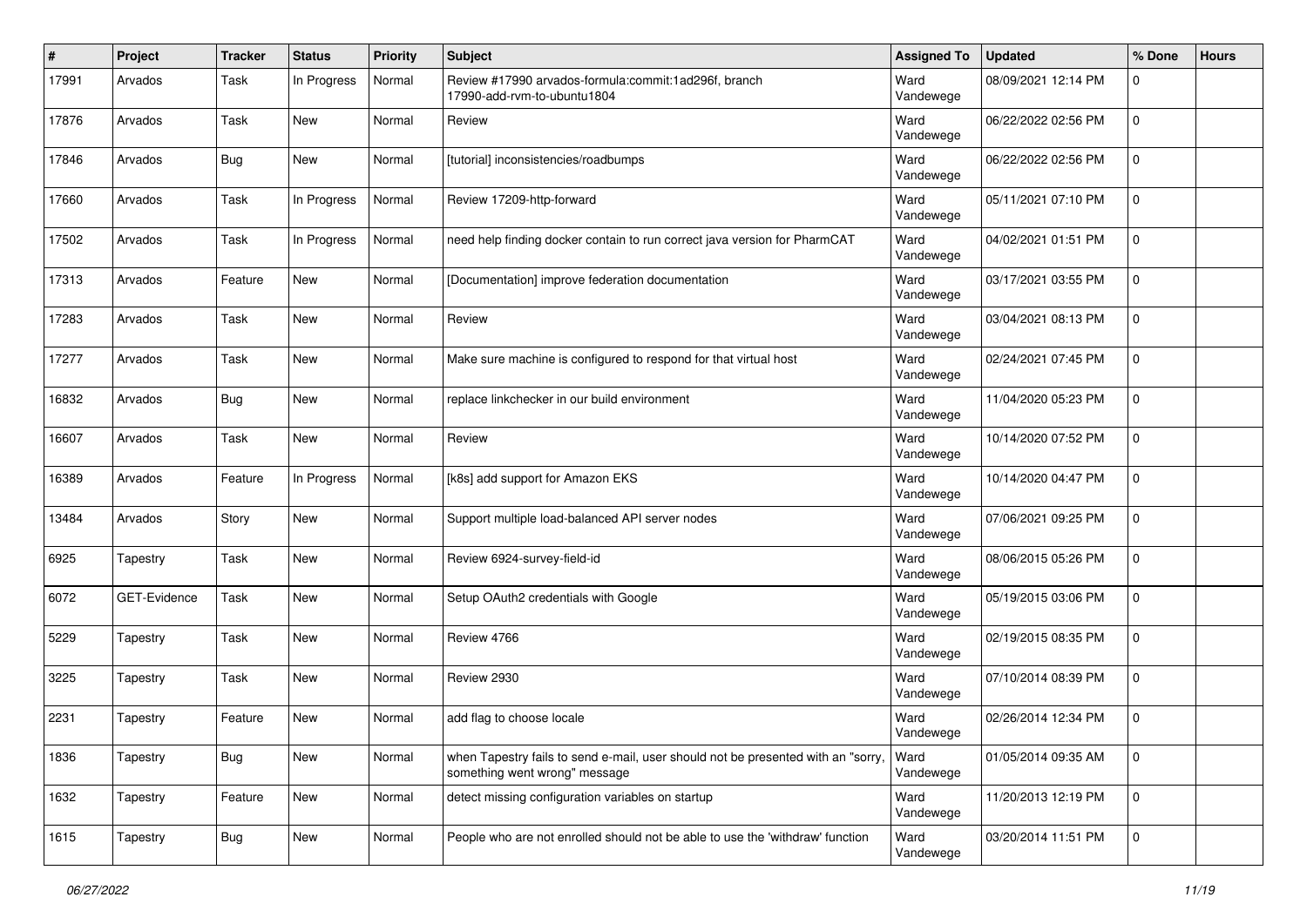| $\#$  | Project      | <b>Tracker</b> | <b>Status</b> | <b>Priority</b> | <b>Subject</b>                                                                                                    | <b>Assigned To</b> | <b>Updated</b>      | % Done      | <b>Hours</b> |
|-------|--------------|----------------|---------------|-----------------|-------------------------------------------------------------------------------------------------------------------|--------------------|---------------------|-------------|--------------|
| 17991 | Arvados      | Task           | In Progress   | Normal          | Review #17990 arvados-formula:commit:1ad296f, branch<br>17990-add-rvm-to-ubuntu1804                               | Ward<br>Vandewege  | 08/09/2021 12:14 PM | 0           |              |
| 17876 | Arvados      | Task           | New           | Normal          | Review                                                                                                            | Ward<br>Vandewege  | 06/22/2022 02:56 PM | 0           |              |
| 17846 | Arvados      | <b>Bug</b>     | New           | Normal          | [tutorial] inconsistencies/roadbumps                                                                              | Ward<br>Vandewege  | 06/22/2022 02:56 PM | 0           |              |
| 17660 | Arvados      | Task           | In Progress   | Normal          | Review 17209-http-forward                                                                                         | Ward<br>Vandewege  | 05/11/2021 07:10 PM | 0           |              |
| 17502 | Arvados      | Task           | In Progress   | Normal          | need help finding docker contain to run correct java version for PharmCAT                                         | Ward<br>Vandewege  | 04/02/2021 01:51 PM | 0           |              |
| 17313 | Arvados      | Feature        | New           | Normal          | [Documentation] improve federation documentation                                                                  | Ward<br>Vandewege  | 03/17/2021 03:55 PM | 0           |              |
| 17283 | Arvados      | Task           | New           | Normal          | Review                                                                                                            | Ward<br>Vandewege  | 03/04/2021 08:13 PM | 0           |              |
| 17277 | Arvados      | Task           | New           | Normal          | Make sure machine is configured to respond for that virtual host                                                  | Ward<br>Vandewege  | 02/24/2021 07:45 PM | 0           |              |
| 16832 | Arvados      | Bug            | New           | Normal          | replace linkchecker in our build environment                                                                      | Ward<br>Vandewege  | 11/04/2020 05:23 PM | 0           |              |
| 16607 | Arvados      | Task           | New           | Normal          | Review                                                                                                            | Ward<br>Vandewege  | 10/14/2020 07:52 PM | 0           |              |
| 16389 | Arvados      | Feature        | In Progress   | Normal          | [k8s] add support for Amazon EKS                                                                                  | Ward<br>Vandewege  | 10/14/2020 04:47 PM | 0           |              |
| 13484 | Arvados      | Story          | New           | Normal          | Support multiple load-balanced API server nodes                                                                   | Ward<br>Vandewege  | 07/06/2021 09:25 PM | 0           |              |
| 6925  | Tapestry     | Task           | New           | Normal          | Review 6924-survey-field-id                                                                                       | Ward<br>Vandewege  | 08/06/2015 05:26 PM | 0           |              |
| 6072  | GET-Evidence | Task           | New           | Normal          | Setup OAuth2 credentials with Google                                                                              | Ward<br>Vandewege  | 05/19/2015 03:06 PM | 0           |              |
| 5229  | Tapestry     | Task           | New           | Normal          | Review 4766                                                                                                       | Ward<br>Vandewege  | 02/19/2015 08:35 PM | 0           |              |
| 3225  | Tapestry     | Task           | New           | Normal          | Review 2930                                                                                                       | Ward<br>Vandewege  | 07/10/2014 08:39 PM | 0           |              |
| 2231  | Tapestry     | Feature        | New           | Normal          | add flag to choose locale                                                                                         | Ward<br>Vandewege  | 02/26/2014 12:34 PM | 0           |              |
| 1836  | Tapestry     | <b>Bug</b>     | New           | Normal          | when Tapestry fails to send e-mail, user should not be presented with an "sorry,<br>something went wrong" message | Ward<br>Vandewege  | 01/05/2014 09:35 AM | 0           |              |
| 1632  | Tapestry     | Feature        | New           | Normal          | detect missing configuration variables on startup                                                                 | Ward<br>Vandewege  | 11/20/2013 12:19 PM | $\mathbf 0$ |              |
| 1615  | Tapestry     | <b>Bug</b>     | New           | Normal          | People who are not enrolled should not be able to use the 'withdraw' function                                     | Ward<br>Vandewege  | 03/20/2014 11:51 PM | $\mathbf 0$ |              |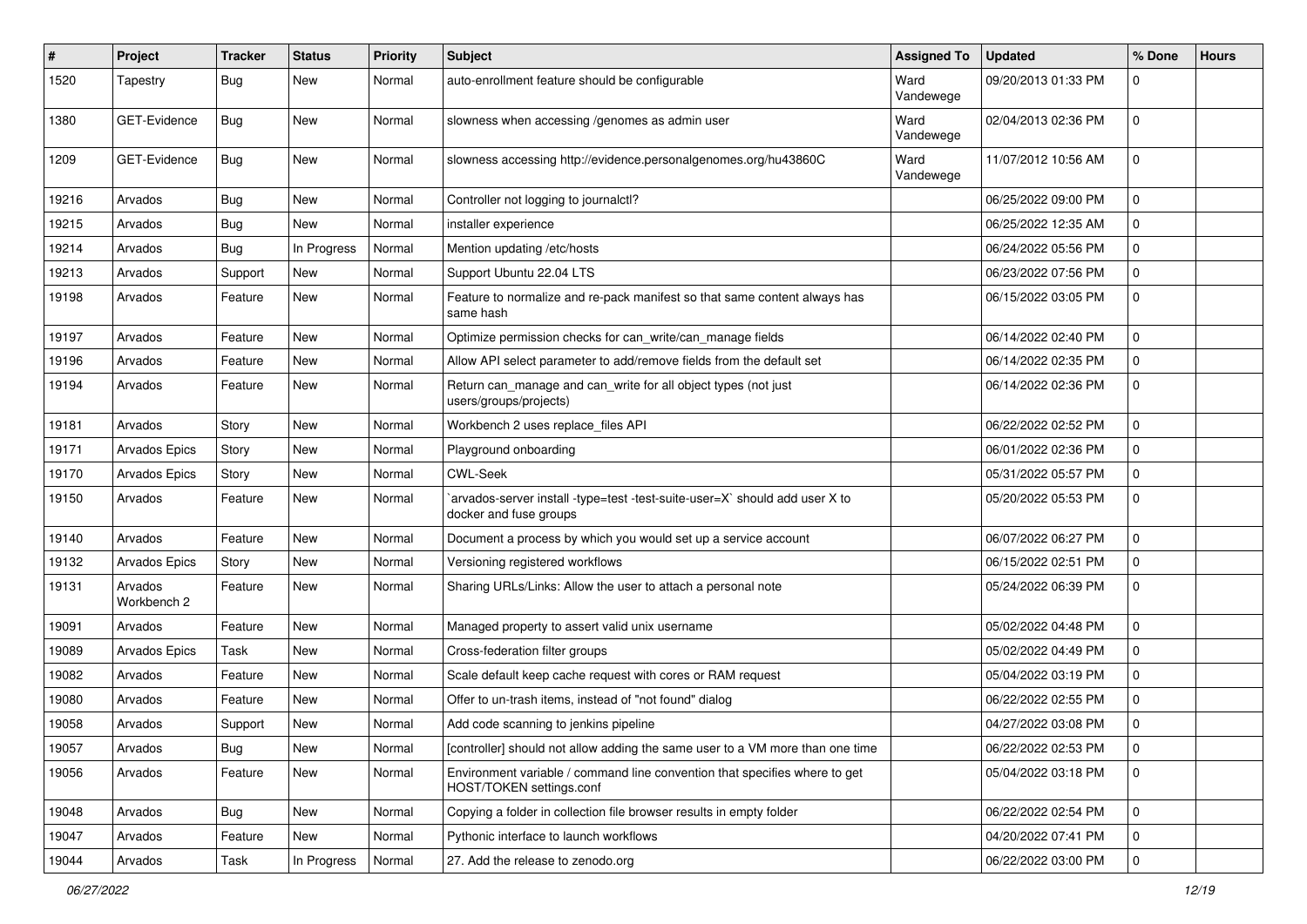| $\pmb{\#}$ | Project                | <b>Tracker</b> | <b>Status</b> | <b>Priority</b> | <b>Subject</b>                                                                                         | <b>Assigned To</b> | <b>Updated</b>      | % Done      | <b>Hours</b> |
|------------|------------------------|----------------|---------------|-----------------|--------------------------------------------------------------------------------------------------------|--------------------|---------------------|-------------|--------------|
| 1520       | Tapestry               | Bug            | New           | Normal          | auto-enrollment feature should be configurable                                                         | Ward<br>Vandewege  | 09/20/2013 01:33 PM | 0           |              |
| 1380       | GET-Evidence           | <b>Bug</b>     | <b>New</b>    | Normal          | slowness when accessing /genomes as admin user                                                         | Ward<br>Vandewege  | 02/04/2013 02:36 PM | 0           |              |
| 1209       | <b>GET-Evidence</b>    | Bug            | New           | Normal          | slowness accessing http://evidence.personalgenomes.org/hu43860C                                        | Ward<br>Vandewege  | 11/07/2012 10:56 AM | 0           |              |
| 19216      | Arvados                | Bug            | <b>New</b>    | Normal          | Controller not logging to journalctl?                                                                  |                    | 06/25/2022 09:00 PM | 0           |              |
| 19215      | Arvados                | Bug            | New           | Normal          | installer experience                                                                                   |                    | 06/25/2022 12:35 AM | 0           |              |
| 19214      | Arvados                | Bug            | In Progress   | Normal          | Mention updating /etc/hosts                                                                            |                    | 06/24/2022 05:56 PM | 0           |              |
| 19213      | Arvados                | Support        | <b>New</b>    | Normal          | Support Ubuntu 22.04 LTS                                                                               |                    | 06/23/2022 07:56 PM | 0           |              |
| 19198      | Arvados                | Feature        | New           | Normal          | Feature to normalize and re-pack manifest so that same content always has<br>same hash                 |                    | 06/15/2022 03:05 PM | 0           |              |
| 19197      | Arvados                | Feature        | <b>New</b>    | Normal          | Optimize permission checks for can_write/can_manage fields                                             |                    | 06/14/2022 02:40 PM | 0           |              |
| 19196      | Arvados                | Feature        | New           | Normal          | Allow API select parameter to add/remove fields from the default set                                   |                    | 06/14/2022 02:35 PM | 0           |              |
| 19194      | Arvados                | Feature        | New           | Normal          | Return can_manage and can_write for all object types (not just<br>users/groups/projects)               |                    | 06/14/2022 02:36 PM | 0           |              |
| 19181      | Arvados                | Story          | <b>New</b>    | Normal          | Workbench 2 uses replace_files API                                                                     |                    | 06/22/2022 02:52 PM | 0           |              |
| 19171      | Arvados Epics          | Story          | <b>New</b>    | Normal          | Playground onboarding                                                                                  |                    | 06/01/2022 02:36 PM | 0           |              |
| 19170      | <b>Arvados Epics</b>   | Story          | New           | Normal          | <b>CWL-Seek</b>                                                                                        |                    | 05/31/2022 05:57 PM | 0           |              |
| 19150      | Arvados                | Feature        | New           | Normal          | `arvados-server install -type=test -test-suite-user=X` should add user X to<br>docker and fuse groups  |                    | 05/20/2022 05:53 PM | $\Omega$    |              |
| 19140      | Arvados                | Feature        | <b>New</b>    | Normal          | Document a process by which you would set up a service account                                         |                    | 06/07/2022 06:27 PM | 0           |              |
| 19132      | Arvados Epics          | Story          | <b>New</b>    | Normal          | Versioning registered workflows                                                                        |                    | 06/15/2022 02:51 PM | 0           |              |
| 19131      | Arvados<br>Workbench 2 | Feature        | New           | Normal          | Sharing URLs/Links: Allow the user to attach a personal note                                           |                    | 05/24/2022 06:39 PM | $\Omega$    |              |
| 19091      | Arvados                | Feature        | <b>New</b>    | Normal          | Managed property to assert valid unix username                                                         |                    | 05/02/2022 04:48 PM | 0           |              |
| 19089      | Arvados Epics          | Task           | <b>New</b>    | Normal          | Cross-federation filter groups                                                                         |                    | 05/02/2022 04:49 PM | 0           |              |
| 19082      | Arvados                | Feature        | New           | Normal          | Scale default keep cache request with cores or RAM request                                             |                    | 05/04/2022 03:19 PM | 0           |              |
| 19080      | Arvados                | Feature        | New           | Normal          | Offer to un-trash items, instead of "not found" dialog                                                 |                    | 06/22/2022 02:55 PM | 0           |              |
| 19058      | Arvados                | Support        | New           | Normal          | Add code scanning to jenkins pipeline                                                                  |                    | 04/27/2022 03:08 PM | $\Omega$    |              |
| 19057      | Arvados                | <b>Bug</b>     | New           | Normal          | [controller] should not allow adding the same user to a VM more than one time                          |                    | 06/22/2022 02:53 PM | 0           |              |
| 19056      | Arvados                | Feature        | New           | Normal          | Environment variable / command line convention that specifies where to get<br>HOST/TOKEN settings.conf |                    | 05/04/2022 03:18 PM | $\mathbf 0$ |              |
| 19048      | Arvados                | Bug            | New           | Normal          | Copying a folder in collection file browser results in empty folder                                    |                    | 06/22/2022 02:54 PM | $\mathbf 0$ |              |
| 19047      | Arvados                | Feature        | New           | Normal          | Pythonic interface to launch workflows                                                                 |                    | 04/20/2022 07:41 PM | 0           |              |
| 19044      | Arvados                | Task           | In Progress   | Normal          | 27. Add the release to zenodo.org                                                                      |                    | 06/22/2022 03:00 PM | $\mathbf 0$ |              |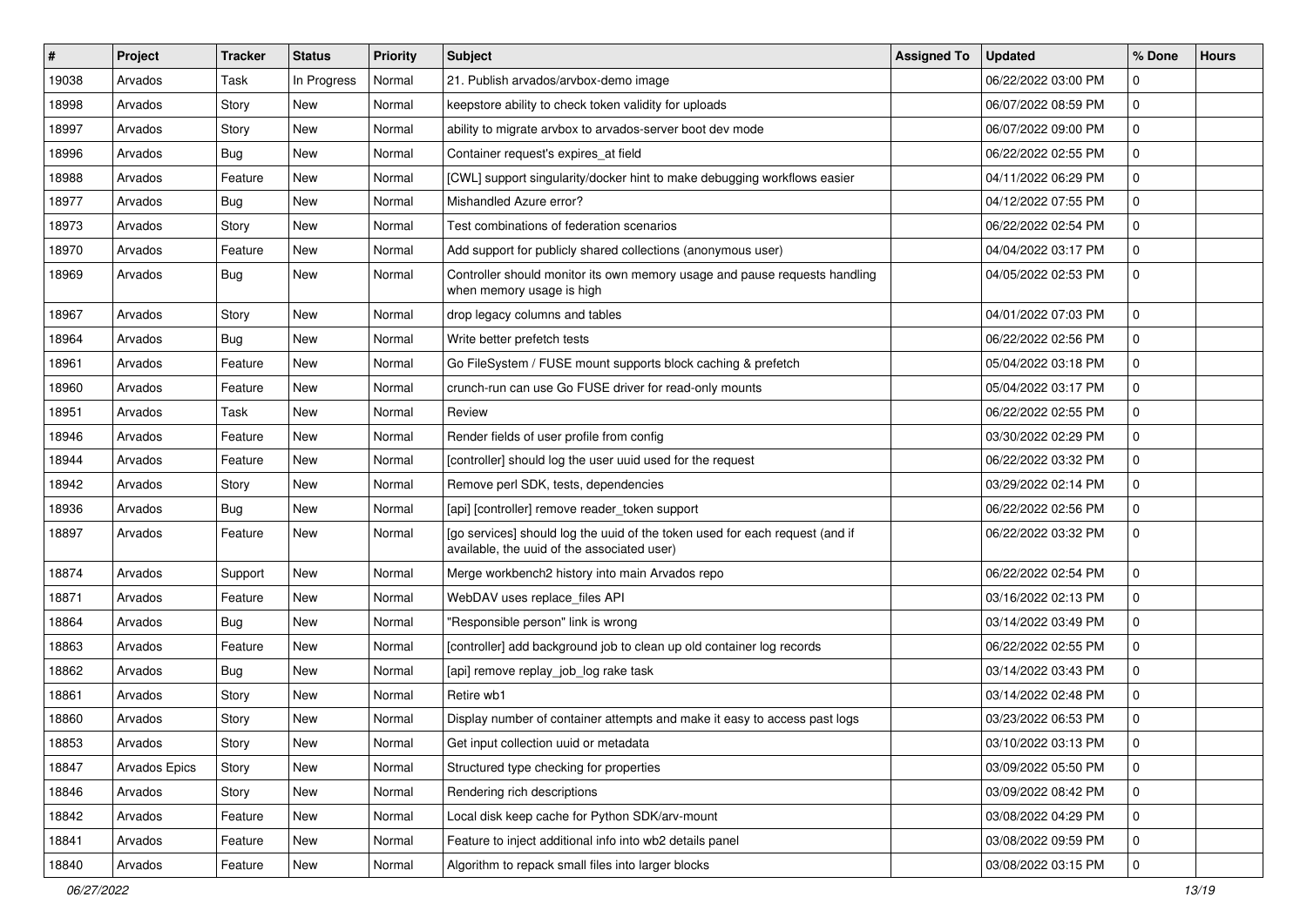| $\vert$ # | Project       | <b>Tracker</b> | <b>Status</b> | <b>Priority</b> | <b>Subject</b>                                                                                                              | <b>Assigned To</b> | <b>Updated</b>      | % Done      | <b>Hours</b> |
|-----------|---------------|----------------|---------------|-----------------|-----------------------------------------------------------------------------------------------------------------------------|--------------------|---------------------|-------------|--------------|
| 19038     | Arvados       | Task           | In Progress   | Normal          | 21. Publish arvados/arvbox-demo image                                                                                       |                    | 06/22/2022 03:00 PM | 0           |              |
| 18998     | Arvados       | Story          | New           | Normal          | keepstore ability to check token validity for uploads                                                                       |                    | 06/07/2022 08:59 PM | 0           |              |
| 18997     | Arvados       | Story          | New           | Normal          | ability to migrate arvbox to arvados-server boot dev mode                                                                   |                    | 06/07/2022 09:00 PM | $\mathbf 0$ |              |
| 18996     | Arvados       | Bug            | New           | Normal          | Container request's expires at field                                                                                        |                    | 06/22/2022 02:55 PM | 0           |              |
| 18988     | Arvados       | Feature        | New           | Normal          | [CWL] support singularity/docker hint to make debugging workflows easier                                                    |                    | 04/11/2022 06:29 PM | 0           |              |
| 18977     | Arvados       | Bug            | New           | Normal          | Mishandled Azure error?                                                                                                     |                    | 04/12/2022 07:55 PM | 0           |              |
| 18973     | Arvados       | Story          | New           | Normal          | Test combinations of federation scenarios                                                                                   |                    | 06/22/2022 02:54 PM | 0           |              |
| 18970     | Arvados       | Feature        | New           | Normal          | Add support for publicly shared collections (anonymous user)                                                                |                    | 04/04/2022 03:17 PM | 0           |              |
| 18969     | Arvados       | Bug            | New           | Normal          | Controller should monitor its own memory usage and pause requests handling<br>when memory usage is high                     |                    | 04/05/2022 02:53 PM | 0           |              |
| 18967     | Arvados       | Story          | New           | Normal          | drop legacy columns and tables                                                                                              |                    | 04/01/2022 07:03 PM | $\mathbf 0$ |              |
| 18964     | Arvados       | Bug            | New           | Normal          | Write better prefetch tests                                                                                                 |                    | 06/22/2022 02:56 PM | 0           |              |
| 18961     | Arvados       | Feature        | New           | Normal          | Go FileSystem / FUSE mount supports block caching & prefetch                                                                |                    | 05/04/2022 03:18 PM | 0           |              |
| 18960     | Arvados       | Feature        | New           | Normal          | crunch-run can use Go FUSE driver for read-only mounts                                                                      |                    | 05/04/2022 03:17 PM | 0           |              |
| 18951     | Arvados       | Task           | <b>New</b>    | Normal          | Review                                                                                                                      |                    | 06/22/2022 02:55 PM | 0           |              |
| 18946     | Arvados       | Feature        | New           | Normal          | Render fields of user profile from config                                                                                   |                    | 03/30/2022 02:29 PM | $\mathbf 0$ |              |
| 18944     | Arvados       | Feature        | New           | Normal          | [controller] should log the user uuid used for the request                                                                  |                    | 06/22/2022 03:32 PM | 0           |              |
| 18942     | Arvados       | Story          | New           | Normal          | Remove perl SDK, tests, dependencies                                                                                        |                    | 03/29/2022 02:14 PM | $\Omega$    |              |
| 18936     | Arvados       | Bug            | New           | Normal          | [api] [controller] remove reader token support                                                                              |                    | 06/22/2022 02:56 PM | 0           |              |
| 18897     | Arvados       | Feature        | New           | Normal          | [go services] should log the uuid of the token used for each request (and if<br>available, the uuid of the associated user) |                    | 06/22/2022 03:32 PM | 0           |              |
| 18874     | Arvados       | Support        | New           | Normal          | Merge workbench2 history into main Arvados repo                                                                             |                    | 06/22/2022 02:54 PM | 0           |              |
| 18871     | Arvados       | Feature        | New           | Normal          | WebDAV uses replace_files API                                                                                               |                    | 03/16/2022 02:13 PM | 0           |              |
| 18864     | Arvados       | Bug            | New           | Normal          | "Responsible person" link is wrong                                                                                          |                    | 03/14/2022 03:49 PM | $\mathbf 0$ |              |
| 18863     | Arvados       | Feature        | New           | Normal          | [controller] add background job to clean up old container log records                                                       |                    | 06/22/2022 02:55 PM | 0           |              |
| 18862     | Arvados       | Bug            | New           | Normal          | [api] remove replay_job_log rake task                                                                                       |                    | 03/14/2022 03:43 PM | 0           |              |
| 18861     | Arvados       | Story          | New           | Normal          | Retire wb1                                                                                                                  |                    | 03/14/2022 02:48 PM | 0           |              |
| 18860     | Arvados       | Story          | <b>New</b>    | Normal          | Display number of container attempts and make it easy to access past logs                                                   |                    | 03/23/2022 06:53 PM | 0           |              |
| 18853     | Arvados       | Story          | New           | Normal          | Get input collection uuid or metadata                                                                                       |                    | 03/10/2022 03:13 PM | 0           |              |
| 18847     | Arvados Epics | Story          | New           | Normal          | Structured type checking for properties                                                                                     |                    | 03/09/2022 05:50 PM | 0           |              |
| 18846     | Arvados       | Story          | New           | Normal          | Rendering rich descriptions                                                                                                 |                    | 03/09/2022 08:42 PM | $\mathbf 0$ |              |
| 18842     | Arvados       | Feature        | New           | Normal          | Local disk keep cache for Python SDK/arv-mount                                                                              |                    | 03/08/2022 04:29 PM | 0           |              |
| 18841     | Arvados       | Feature        | New           | Normal          | Feature to inject additional info into wb2 details panel                                                                    |                    | 03/08/2022 09:59 PM | 0           |              |
| 18840     | Arvados       | Feature        | New           | Normal          | Algorithm to repack small files into larger blocks                                                                          |                    | 03/08/2022 03:15 PM | 0           |              |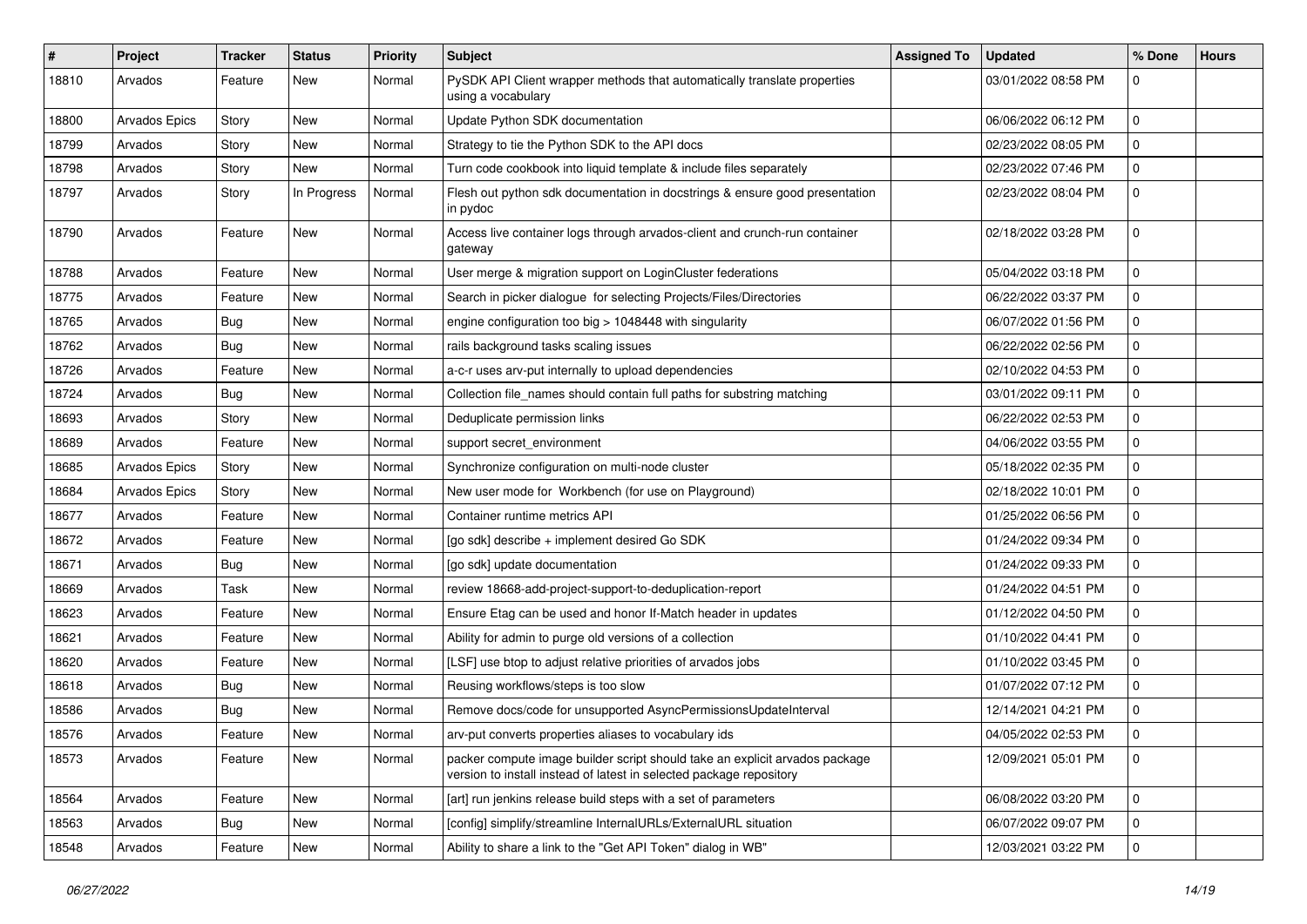| #     | Project       | <b>Tracker</b> | <b>Status</b> | <b>Priority</b> | Subject                                                                                                                                            | <b>Assigned To</b> | <b>Updated</b>      | % Done         | <b>Hours</b> |
|-------|---------------|----------------|---------------|-----------------|----------------------------------------------------------------------------------------------------------------------------------------------------|--------------------|---------------------|----------------|--------------|
| 18810 | Arvados       | Feature        | New           | Normal          | PySDK API Client wrapper methods that automatically translate properties<br>using a vocabulary                                                     |                    | 03/01/2022 08:58 PM | 0              |              |
| 18800 | Arvados Epics | Story          | New           | Normal          | Update Python SDK documentation                                                                                                                    |                    | 06/06/2022 06:12 PM | $\mathbf 0$    |              |
| 18799 | Arvados       | Story          | New           | Normal          | Strategy to tie the Python SDK to the API docs                                                                                                     |                    | 02/23/2022 08:05 PM | 0              |              |
| 18798 | Arvados       | Story          | New           | Normal          | Turn code cookbook into liquid template & include files separately                                                                                 |                    | 02/23/2022 07:46 PM | 0              |              |
| 18797 | Arvados       | Story          | In Progress   | Normal          | Flesh out python sdk documentation in docstrings & ensure good presentation<br>in pydoc                                                            |                    | 02/23/2022 08:04 PM | 0              |              |
| 18790 | Arvados       | Feature        | New           | Normal          | Access live container logs through arvados-client and crunch-run container<br>gateway                                                              |                    | 02/18/2022 03:28 PM | 0              |              |
| 18788 | Arvados       | Feature        | New           | Normal          | User merge & migration support on LoginCluster federations                                                                                         |                    | 05/04/2022 03:18 PM | 0              |              |
| 18775 | Arvados       | Feature        | New           | Normal          | Search in picker dialogue for selecting Projects/Files/Directories                                                                                 |                    | 06/22/2022 03:37 PM | $\mathbf 0$    |              |
| 18765 | Arvados       | <b>Bug</b>     | <b>New</b>    | Normal          | engine configuration too big > 1048448 with singularity                                                                                            |                    | 06/07/2022 01:56 PM | 0              |              |
| 18762 | Arvados       | Bug            | New           | Normal          | rails background tasks scaling issues                                                                                                              |                    | 06/22/2022 02:56 PM | 0              |              |
| 18726 | Arvados       | Feature        | New           | Normal          | a-c-r uses arv-put internally to upload dependencies                                                                                               |                    | 02/10/2022 04:53 PM | 0              |              |
| 18724 | Arvados       | Bug            | <b>New</b>    | Normal          | Collection file_names should contain full paths for substring matching                                                                             |                    | 03/01/2022 09:11 PM | 0              |              |
| 18693 | Arvados       | Story          | New           | Normal          | Deduplicate permission links                                                                                                                       |                    | 06/22/2022 02:53 PM | 0              |              |
| 18689 | Arvados       | Feature        | New           | Normal          | support secret_environment                                                                                                                         |                    | 04/06/2022 03:55 PM | 0              |              |
| 18685 | Arvados Epics | Story          | New           | Normal          | Synchronize configuration on multi-node cluster                                                                                                    |                    | 05/18/2022 02:35 PM | 0              |              |
| 18684 | Arvados Epics | Story          | New           | Normal          | New user mode for Workbench (for use on Playground)                                                                                                |                    | 02/18/2022 10:01 PM | 0              |              |
| 18677 | Arvados       | Feature        | New           | Normal          | Container runtime metrics API                                                                                                                      |                    | 01/25/2022 06:56 PM | 0              |              |
| 18672 | Arvados       | Feature        | New           | Normal          | [go sdk] describe + implement desired Go SDK                                                                                                       |                    | 01/24/2022 09:34 PM | 0              |              |
| 18671 | Arvados       | Bug            | <b>New</b>    | Normal          | [go sdk] update documentation                                                                                                                      |                    | 01/24/2022 09:33 PM | 0              |              |
| 18669 | Arvados       | Task           | New           | Normal          | review 18668-add-project-support-to-deduplication-report                                                                                           |                    | 01/24/2022 04:51 PM | 0              |              |
| 18623 | Arvados       | Feature        | New           | Normal          | Ensure Etag can be used and honor If-Match header in updates                                                                                       |                    | 01/12/2022 04:50 PM | $\mathbf 0$    |              |
| 18621 | Arvados       | Feature        | <b>New</b>    | Normal          | Ability for admin to purge old versions of a collection                                                                                            |                    | 01/10/2022 04:41 PM | 0              |              |
| 18620 | Arvados       | Feature        | New           | Normal          | [LSF] use btop to adjust relative priorities of arvados jobs                                                                                       |                    | 01/10/2022 03:45 PM | 0              |              |
| 18618 | Arvados       | Bug            | New           | Normal          | Reusing workflows/steps is too slow                                                                                                                |                    | 01/07/2022 07:12 PM | 0              |              |
| 18586 | Arvados       | <b>Bug</b>     | <b>New</b>    | Normal          | Remove docs/code for unsupported AsyncPermissionsUpdateInterval                                                                                    |                    | 12/14/2021 04:21 PM | 0              |              |
| 18576 | Arvados       | Feature        | New           | Normal          | arv-put converts properties aliases to vocabulary ids                                                                                              |                    | 04/05/2022 02:53 PM | $\Omega$       |              |
| 18573 | Arvados       | Feature        | New           | Normal          | packer compute image builder script should take an explicit arvados package<br>version to install instead of latest in selected package repository |                    | 12/09/2021 05:01 PM | $\mathbf 0$    |              |
| 18564 | Arvados       | Feature        | New           | Normal          | [art] run jenkins release build steps with a set of parameters                                                                                     |                    | 06/08/2022 03:20 PM | $\mathbf 0$    |              |
| 18563 | Arvados       | Bug            | New           | Normal          | [config] simplify/streamline InternalURLs/ExternalURL situation                                                                                    |                    | 06/07/2022 09:07 PM | 0              |              |
| 18548 | Arvados       | Feature        | New           | Normal          | Ability to share a link to the "Get API Token" dialog in WB"                                                                                       |                    | 12/03/2021 03:22 PM | $\overline{0}$ |              |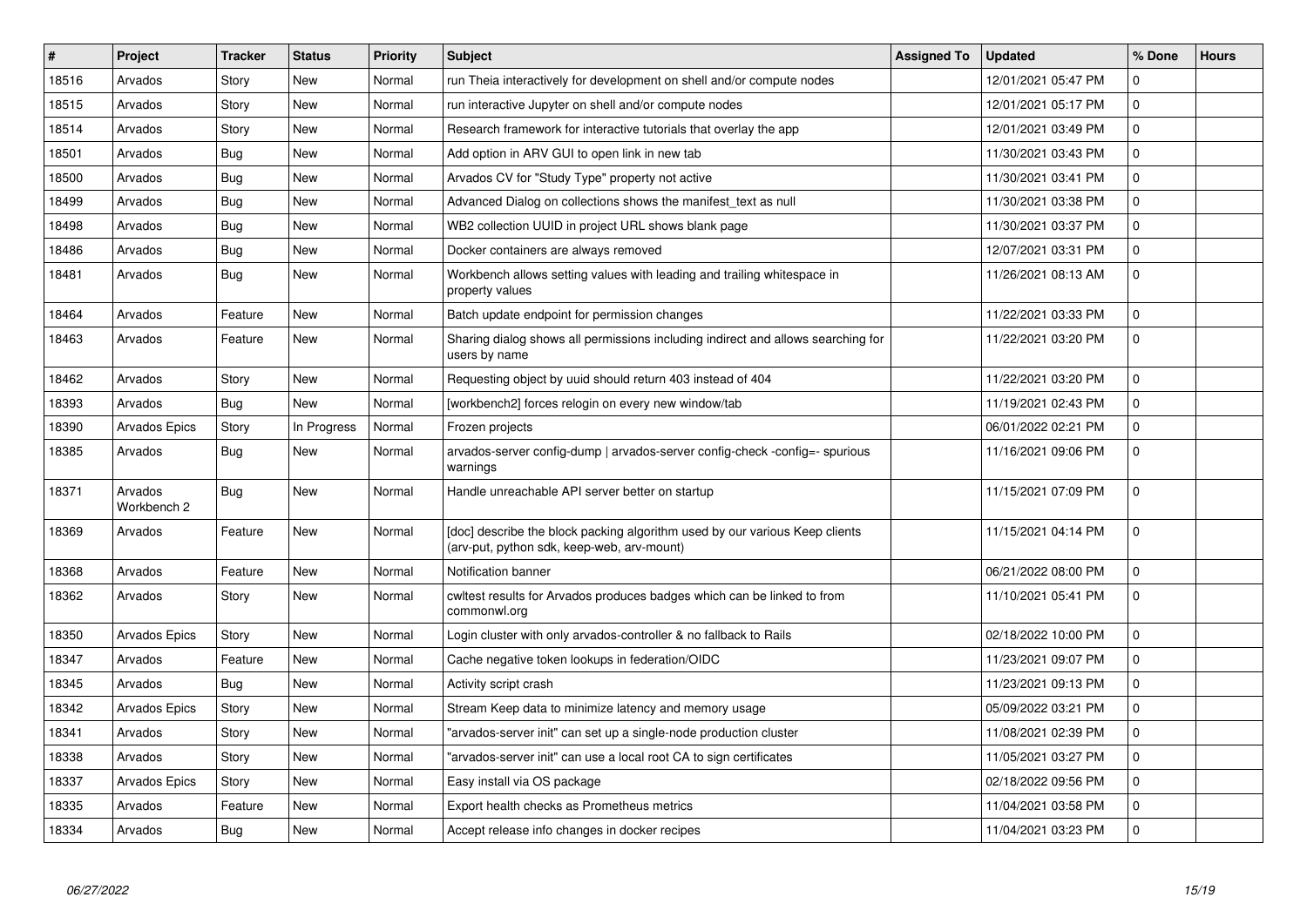| #     | Project                | <b>Tracker</b> | <b>Status</b> | Priority | <b>Subject</b>                                                                                                            | <b>Assigned To</b> | <b>Updated</b>      | % Done      | <b>Hours</b> |
|-------|------------------------|----------------|---------------|----------|---------------------------------------------------------------------------------------------------------------------------|--------------------|---------------------|-------------|--------------|
| 18516 | Arvados                | Story          | <b>New</b>    | Normal   | run Theia interactively for development on shell and/or compute nodes                                                     |                    | 12/01/2021 05:47 PM | $\mathbf 0$ |              |
| 18515 | Arvados                | Story          | <b>New</b>    | Normal   | run interactive Jupyter on shell and/or compute nodes                                                                     |                    | 12/01/2021 05:17 PM | $\Omega$    |              |
| 18514 | Arvados                | Story          | <b>New</b>    | Normal   | Research framework for interactive tutorials that overlay the app                                                         |                    | 12/01/2021 03:49 PM | 0           |              |
| 18501 | Arvados                | <b>Bug</b>     | <b>New</b>    | Normal   | Add option in ARV GUI to open link in new tab                                                                             |                    | 11/30/2021 03:43 PM | $\Omega$    |              |
| 18500 | Arvados                | Bug            | New           | Normal   | Arvados CV for "Study Type" property not active                                                                           |                    | 11/30/2021 03:41 PM | 0           |              |
| 18499 | Arvados                | <b>Bug</b>     | <b>New</b>    | Normal   | Advanced Dialog on collections shows the manifest text as null                                                            |                    | 11/30/2021 03:38 PM | 0           |              |
| 18498 | Arvados                | <b>Bug</b>     | <b>New</b>    | Normal   | WB2 collection UUID in project URL shows blank page                                                                       |                    | 11/30/2021 03:37 PM | 0           |              |
| 18486 | Arvados                | <b>Bug</b>     | <b>New</b>    | Normal   | Docker containers are always removed                                                                                      |                    | 12/07/2021 03:31 PM | 0           |              |
| 18481 | Arvados                | <b>Bug</b>     | <b>New</b>    | Normal   | Workbench allows setting values with leading and trailing whitespace in<br>property values                                |                    | 11/26/2021 08:13 AM | $\Omega$    |              |
| 18464 | Arvados                | Feature        | <b>New</b>    | Normal   | Batch update endpoint for permission changes                                                                              |                    | 11/22/2021 03:33 PM | 0           |              |
| 18463 | Arvados                | Feature        | New           | Normal   | Sharing dialog shows all permissions including indirect and allows searching for<br>users by name                         |                    | 11/22/2021 03:20 PM | 0           |              |
| 18462 | Arvados                | Story          | <b>New</b>    | Normal   | Requesting object by uuid should return 403 instead of 404                                                                |                    | 11/22/2021 03:20 PM | 0           |              |
| 18393 | Arvados                | Bug            | <b>New</b>    | Normal   | [workbench2] forces relogin on every new window/tab                                                                       |                    | 11/19/2021 02:43 PM | 0           |              |
| 18390 | <b>Arvados Epics</b>   | Story          | In Progress   | Normal   | Frozen projects                                                                                                           |                    | 06/01/2022 02:21 PM | $\mathbf 0$ |              |
| 18385 | Arvados                | Bug            | <b>New</b>    | Normal   | arvados-server config-dump   arvados-server config-check -config=- spurious<br>warnings                                   |                    | 11/16/2021 09:06 PM | 0           |              |
| 18371 | Arvados<br>Workbench 2 | Bug            | <b>New</b>    | Normal   | Handle unreachable API server better on startup                                                                           |                    | 11/15/2021 07:09 PM | $\mathbf 0$ |              |
| 18369 | Arvados                | Feature        | <b>New</b>    | Normal   | [doc] describe the block packing algorithm used by our various Keep clients<br>(arv-put, python sdk, keep-web, arv-mount) |                    | 11/15/2021 04:14 PM | $\Omega$    |              |
| 18368 | Arvados                | Feature        | <b>New</b>    | Normal   | Notification banner                                                                                                       |                    | 06/21/2022 08:00 PM | 0           |              |
| 18362 | Arvados                | Story          | <b>New</b>    | Normal   | cwltest results for Arvados produces badges which can be linked to from<br>commonwl.org                                   |                    | 11/10/2021 05:41 PM | $\mathbf 0$ |              |
| 18350 | <b>Arvados Epics</b>   | Story          | <b>New</b>    | Normal   | Login cluster with only arvados-controller & no fallback to Rails                                                         |                    | 02/18/2022 10:00 PM | $\mathbf 0$ |              |
| 18347 | Arvados                | Feature        | <b>New</b>    | Normal   | Cache negative token lookups in federation/OIDC                                                                           |                    | 11/23/2021 09:07 PM | 0           |              |
| 18345 | Arvados                | Bug            | <b>New</b>    | Normal   | Activity script crash                                                                                                     |                    | 11/23/2021 09:13 PM | 0           |              |
| 18342 | <b>Arvados Epics</b>   | Story          | <b>New</b>    | Normal   | Stream Keep data to minimize latency and memory usage                                                                     |                    | 05/09/2022 03:21 PM | $\Omega$    |              |
| 18341 | Arvados                | Story          | <b>New</b>    | Normal   | "arvados-server init" can set up a single-node production cluster                                                         |                    | 11/08/2021 02:39 PM | 0           |              |
| 18338 | Arvados                | Story          | <b>New</b>    | Normal   | "arvados-server init" can use a local root CA to sign certificates                                                        |                    | 11/05/2021 03:27 PM | $\Omega$    |              |
| 18337 | <b>Arvados Epics</b>   | Story          | <b>New</b>    | Normal   | Easy install via OS package                                                                                               |                    | 02/18/2022 09:56 PM | 0           |              |
| 18335 | Arvados                | Feature        | <b>New</b>    | Normal   | Export health checks as Prometheus metrics                                                                                |                    | 11/04/2021 03:58 PM | 0           |              |
| 18334 | Arvados                | <b>Bug</b>     | <b>New</b>    | Normal   | Accept release info changes in docker recipes                                                                             |                    | 11/04/2021 03:23 PM | 0           |              |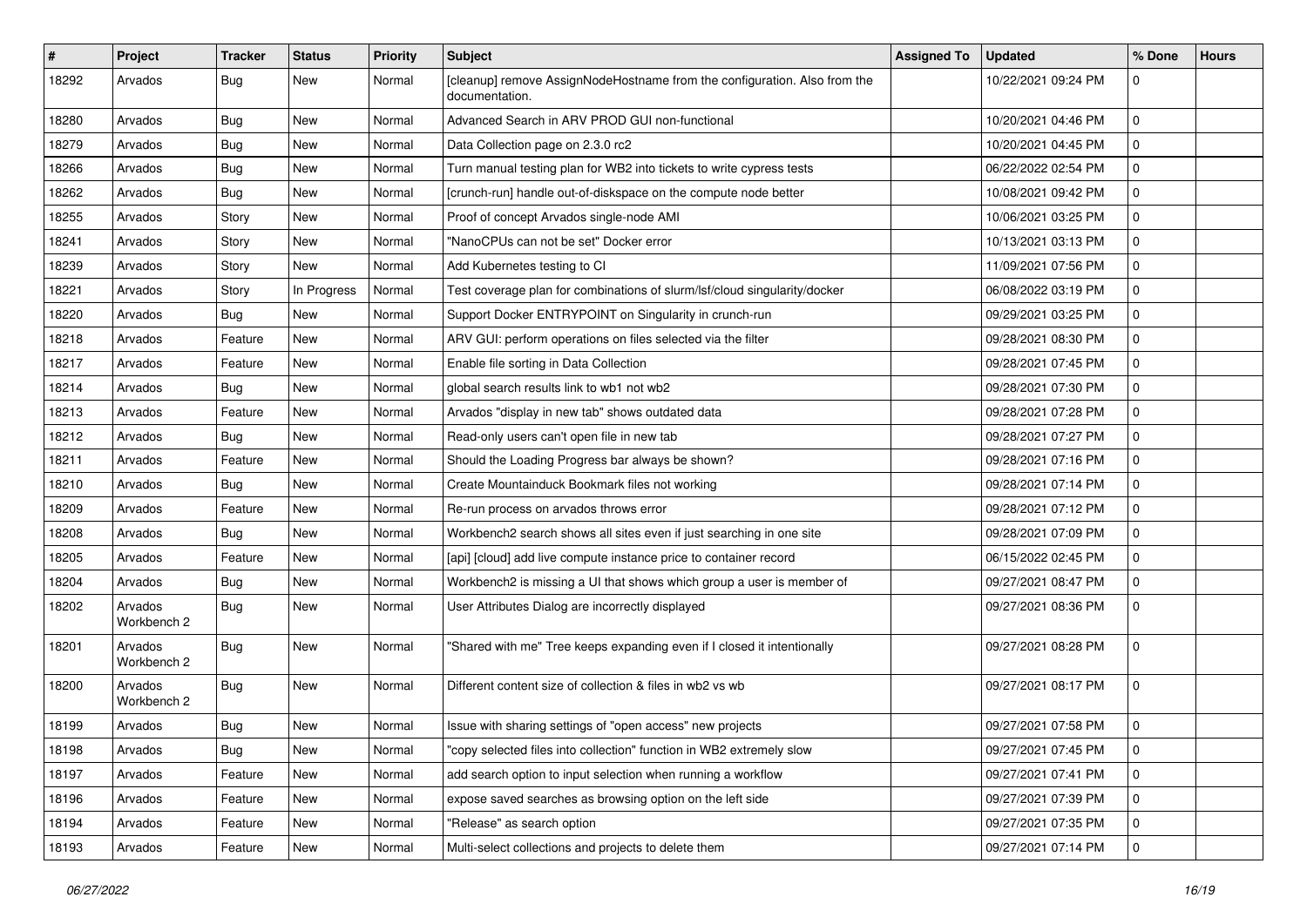| $\vert$ # | Project                | <b>Tracker</b> | <b>Status</b> | <b>Priority</b> | <b>Subject</b>                                                                              | <b>Assigned To</b> | <b>Updated</b>      | % Done      | <b>Hours</b> |
|-----------|------------------------|----------------|---------------|-----------------|---------------------------------------------------------------------------------------------|--------------------|---------------------|-------------|--------------|
| 18292     | Arvados                | Bug            | New           | Normal          | [cleanup] remove AssignNodeHostname from the configuration. Also from the<br>documentation. |                    | 10/22/2021 09:24 PM | 0           |              |
| 18280     | Arvados                | Bug            | New           | Normal          | Advanced Search in ARV PROD GUI non-functional                                              |                    | 10/20/2021 04:46 PM | $\mathbf 0$ |              |
| 18279     | Arvados                | <b>Bug</b>     | New           | Normal          | Data Collection page on 2.3.0 rc2                                                           |                    | 10/20/2021 04:45 PM | 0           |              |
| 18266     | Arvados                | Bug            | <b>New</b>    | Normal          | Turn manual testing plan for WB2 into tickets to write cypress tests                        |                    | 06/22/2022 02:54 PM | 0           |              |
| 18262     | Arvados                | Bug            | New           | Normal          | [crunch-run] handle out-of-diskspace on the compute node better                             |                    | 10/08/2021 09:42 PM | 0           |              |
| 18255     | Arvados                | Story          | New           | Normal          | Proof of concept Arvados single-node AMI                                                    |                    | 10/06/2021 03:25 PM | 0           |              |
| 18241     | Arvados                | Story          | New           | Normal          | "NanoCPUs can not be set" Docker error                                                      |                    | 10/13/2021 03:13 PM | 0           |              |
| 18239     | Arvados                | Story          | New           | Normal          | Add Kubernetes testing to CI                                                                |                    | 11/09/2021 07:56 PM | 0           |              |
| 18221     | Arvados                | Story          | In Progress   | Normal          | Test coverage plan for combinations of slurm/lsf/cloud singularity/docker                   |                    | 06/08/2022 03:19 PM | 0           |              |
| 18220     | Arvados                | Bug            | New           | Normal          | Support Docker ENTRYPOINT on Singularity in crunch-run                                      |                    | 09/29/2021 03:25 PM | $\mathbf 0$ |              |
| 18218     | Arvados                | Feature        | New           | Normal          | ARV GUI: perform operations on files selected via the filter                                |                    | 09/28/2021 08:30 PM | 0           |              |
| 18217     | Arvados                | Feature        | <b>New</b>    | Normal          | Enable file sorting in Data Collection                                                      |                    | 09/28/2021 07:45 PM | 0           |              |
| 18214     | Arvados                | Bug            | New           | Normal          | global search results link to wb1 not wb2                                                   |                    | 09/28/2021 07:30 PM | 0           |              |
| 18213     | Arvados                | Feature        | <b>New</b>    | Normal          | Arvados "display in new tab" shows outdated data                                            |                    | 09/28/2021 07:28 PM | 0           |              |
| 18212     | Arvados                | Bug            | New           | Normal          | Read-only users can't open file in new tab                                                  |                    | 09/28/2021 07:27 PM | $\mathbf 0$ |              |
| 18211     | Arvados                | Feature        | New           | Normal          | Should the Loading Progress bar always be shown?                                            |                    | 09/28/2021 07:16 PM | 0           |              |
| 18210     | Arvados                | Bug            | <b>New</b>    | Normal          | Create Mountainduck Bookmark files not working                                              |                    | 09/28/2021 07:14 PM | 0           |              |
| 18209     | Arvados                | Feature        | New           | Normal          | Re-run process on arvados throws error                                                      |                    | 09/28/2021 07:12 PM | 0           |              |
| 18208     | Arvados                | Bug            | New           | Normal          | Workbench2 search shows all sites even if just searching in one site                        |                    | 09/28/2021 07:09 PM | 0           |              |
| 18205     | Arvados                | Feature        | New           | Normal          | [api] [cloud] add live compute instance price to container record                           |                    | 06/15/2022 02:45 PM | 0           |              |
| 18204     | Arvados                | Bug            | <b>New</b>    | Normal          | Workbench2 is missing a UI that shows which group a user is member of                       |                    | 09/27/2021 08:47 PM | 0           |              |
| 18202     | Arvados<br>Workbench 2 | Bug            | New           | Normal          | User Attributes Dialog are incorrectly displayed                                            |                    | 09/27/2021 08:36 PM | 0           |              |
| 18201     | Arvados<br>Workbench 2 | Bug            | New           | Normal          | "Shared with me" Tree keeps expanding even if I closed it intentionally                     |                    | 09/27/2021 08:28 PM | 0           |              |
| 18200     | Arvados<br>Workbench 2 | Bug            | <b>New</b>    | Normal          | Different content size of collection & files in wb2 vs wb                                   |                    | 09/27/2021 08:17 PM | 0           |              |
| 18199     | Arvados                | Bug            | New           | Normal          | Issue with sharing settings of "open access" new projects                                   |                    | 09/27/2021 07:58 PM | 0           |              |
| 18198     | Arvados                | Bug            | New           | Normal          | "copy selected files into collection" function in WB2 extremely slow                        |                    | 09/27/2021 07:45 PM | $\mathbf 0$ |              |
| 18197     | Arvados                | Feature        | New           | Normal          | add search option to input selection when running a workflow                                |                    | 09/27/2021 07:41 PM | 0           |              |
| 18196     | Arvados                | Feature        | New           | Normal          | expose saved searches as browsing option on the left side                                   |                    | 09/27/2021 07:39 PM | $\mathbf 0$ |              |
| 18194     | Arvados                | Feature        | New           | Normal          | "Release" as search option                                                                  |                    | 09/27/2021 07:35 PM | 0           |              |
| 18193     | Arvados                | Feature        | New           | Normal          | Multi-select collections and projects to delete them                                        |                    | 09/27/2021 07:14 PM | $\mathbf 0$ |              |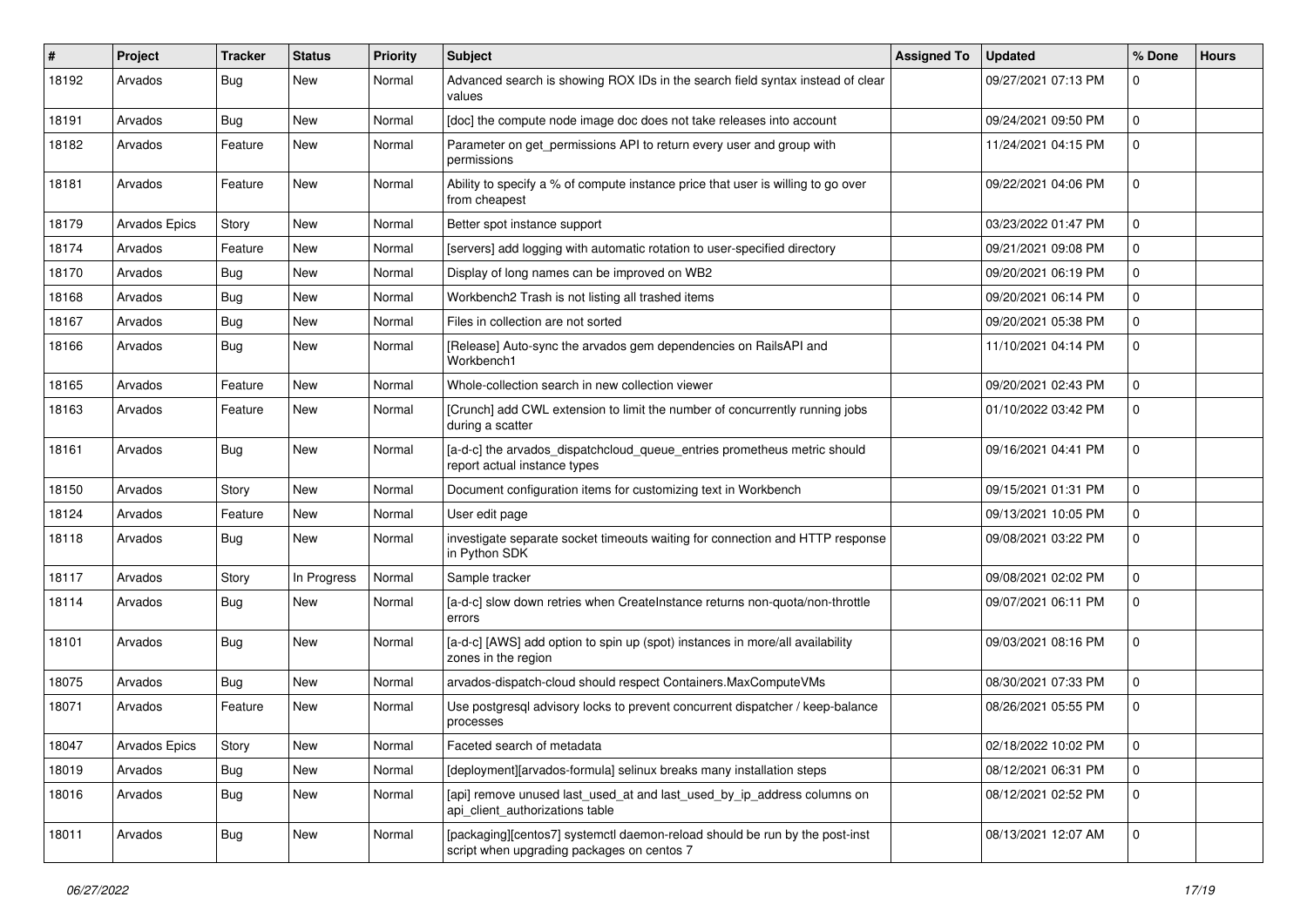| #     | Project       | <b>Tracker</b> | <b>Status</b> | <b>Priority</b> | <b>Subject</b>                                                                                                            | <b>Assigned To</b> | <b>Updated</b>      | % Done      | <b>Hours</b> |
|-------|---------------|----------------|---------------|-----------------|---------------------------------------------------------------------------------------------------------------------------|--------------------|---------------------|-------------|--------------|
| 18192 | Arvados       | Bug            | New           | Normal          | Advanced search is showing ROX IDs in the search field syntax instead of clear<br>values                                  |                    | 09/27/2021 07:13 PM | 0           |              |
| 18191 | Arvados       | Bug            | New           | Normal          | [doc] the compute node image doc does not take releases into account                                                      |                    | 09/24/2021 09:50 PM | $\mathbf 0$ |              |
| 18182 | Arvados       | Feature        | New           | Normal          | Parameter on get_permissions API to return every user and group with<br>permissions                                       |                    | 11/24/2021 04:15 PM | 0           |              |
| 18181 | Arvados       | Feature        | <b>New</b>    | Normal          | Ability to specify a % of compute instance price that user is willing to go over<br>from cheapest                         |                    | 09/22/2021 04:06 PM | $\Omega$    |              |
| 18179 | Arvados Epics | Story          | <b>New</b>    | Normal          | Better spot instance support                                                                                              |                    | 03/23/2022 01:47 PM | 0           |              |
| 18174 | Arvados       | Feature        | <b>New</b>    | Normal          | [servers] add logging with automatic rotation to user-specified directory                                                 |                    | 09/21/2021 09:08 PM | 0           |              |
| 18170 | Arvados       | Bug            | <b>New</b>    | Normal          | Display of long names can be improved on WB2                                                                              |                    | 09/20/2021 06:19 PM | 0           |              |
| 18168 | Arvados       | Bug            | New           | Normal          | Workbench2 Trash is not listing all trashed items                                                                         |                    | 09/20/2021 06:14 PM | $\Omega$    |              |
| 18167 | Arvados       | Bug            | New           | Normal          | Files in collection are not sorted                                                                                        |                    | 09/20/2021 05:38 PM | 0           |              |
| 18166 | Arvados       | Bug            | <b>New</b>    | Normal          | [Release] Auto-sync the arvados gem dependencies on RailsAPI and<br>Workbench1                                            |                    | 11/10/2021 04:14 PM | 0           |              |
| 18165 | Arvados       | Feature        | <b>New</b>    | Normal          | Whole-collection search in new collection viewer                                                                          |                    | 09/20/2021 02:43 PM | $\Omega$    |              |
| 18163 | Arvados       | Feature        | <b>New</b>    | Normal          | [Crunch] add CWL extension to limit the number of concurrently running jobs<br>during a scatter                           |                    | 01/10/2022 03:42 PM | $\Omega$    |              |
| 18161 | Arvados       | Bug            | New           | Normal          | [a-d-c] the arvados_dispatchcloud_queue_entries prometheus metric should<br>report actual instance types                  |                    | 09/16/2021 04:41 PM | $\mathbf 0$ |              |
| 18150 | Arvados       | Story          | <b>New</b>    | Normal          | Document configuration items for customizing text in Workbench                                                            |                    | 09/15/2021 01:31 PM | 0           |              |
| 18124 | Arvados       | Feature        | <b>New</b>    | Normal          | User edit page                                                                                                            |                    | 09/13/2021 10:05 PM | 0           |              |
| 18118 | Arvados       | Bug            | New           | Normal          | investigate separate socket timeouts waiting for connection and HTTP response<br>in Python SDK                            |                    | 09/08/2021 03:22 PM | 0           |              |
| 18117 | Arvados       | Story          | In Progress   | Normal          | Sample tracker                                                                                                            |                    | 09/08/2021 02:02 PM | $\Omega$    |              |
| 18114 | Arvados       | Bug            | New           | Normal          | [a-d-c] slow down retries when CreateInstance returns non-quota/non-throttle<br>errors                                    |                    | 09/07/2021 06:11 PM | $\Omega$    |              |
| 18101 | Arvados       | Bug            | <b>New</b>    | Normal          | [a-d-c] [AWS] add option to spin up (spot) instances in more/all availability<br>zones in the region                      |                    | 09/03/2021 08:16 PM | 0           |              |
| 18075 | Arvados       | Bug            | <b>New</b>    | Normal          | arvados-dispatch-cloud should respect Containers.MaxComputeVMs                                                            |                    | 08/30/2021 07:33 PM | 0           |              |
| 18071 | Arvados       | Feature        | New           | Normal          | Use postgresql advisory locks to prevent concurrent dispatcher / keep-balance<br>processes                                |                    | 08/26/2021 05:55 PM | $\Omega$    |              |
| 18047 | Arvados Epics | Story          | New           | Normal          | Faceted search of metadata                                                                                                |                    | 02/18/2022 10:02 PM | 0           |              |
| 18019 | Arvados       | Bug            | New           | Normal          | [deployment][arvados-formula] selinux breaks many installation steps                                                      |                    | 08/12/2021 06:31 PM | 0           |              |
| 18016 | Arvados       | Bug            | New           | Normal          | [api] remove unused last_used_at and last_used_by_ip_address columns on<br>api_client_authorizations table                |                    | 08/12/2021 02:52 PM | $\mathbf 0$ |              |
| 18011 | Arvados       | <b>Bug</b>     | New           | Normal          | [packaging][centos7] systemctl daemon-reload should be run by the post-inst<br>script when upgrading packages on centos 7 |                    | 08/13/2021 12:07 AM | $\Omega$    |              |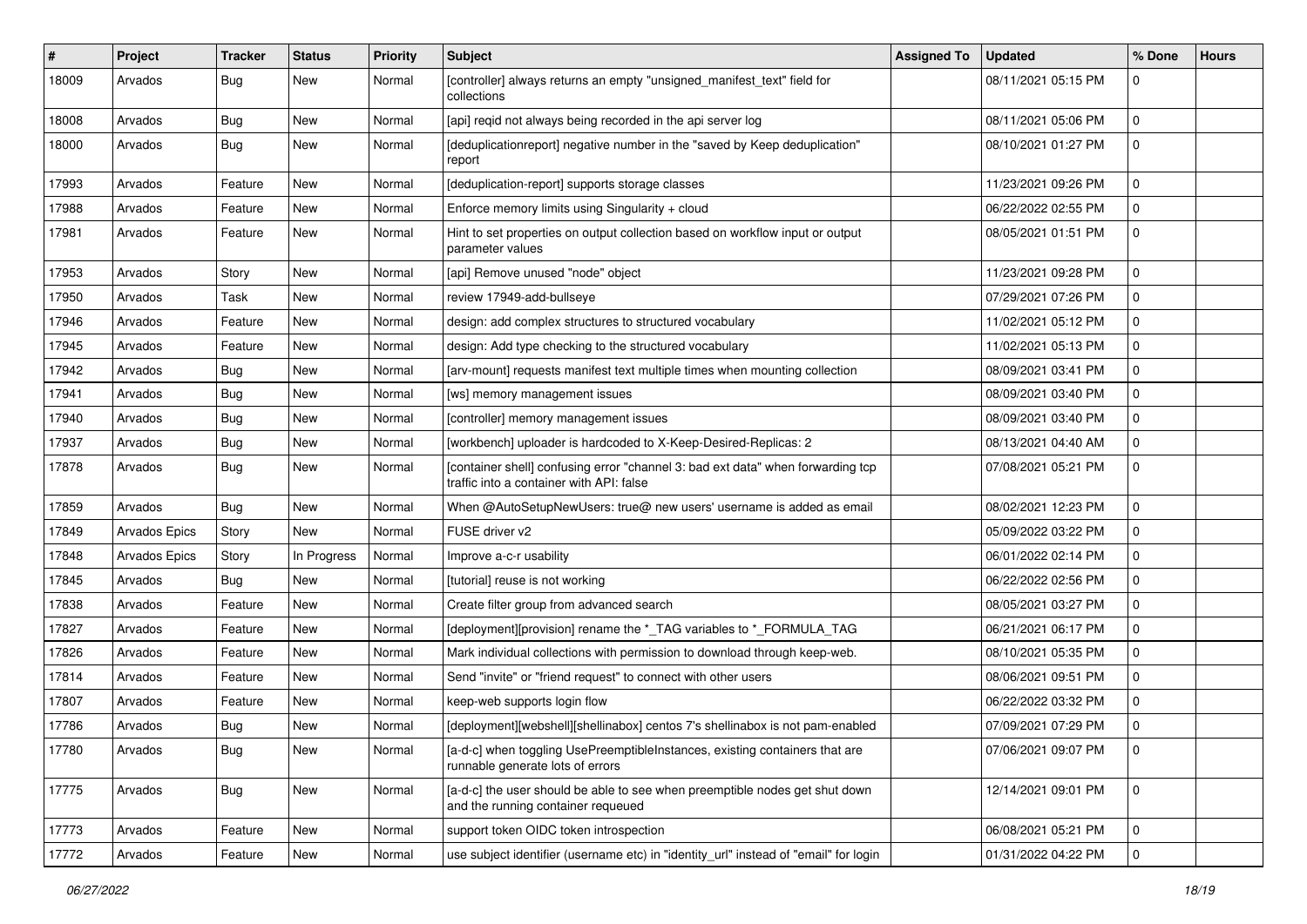| #     | Project              | <b>Tracker</b> | <b>Status</b> | <b>Priority</b> | <b>Subject</b>                                                                                                              | <b>Assigned To</b> | <b>Updated</b>      | % Done      | <b>Hours</b> |
|-------|----------------------|----------------|---------------|-----------------|-----------------------------------------------------------------------------------------------------------------------------|--------------------|---------------------|-------------|--------------|
| 18009 | Arvados              | Bug            | New           | Normal          | [controller] always returns an empty "unsigned_manifest_text" field for<br>collections                                      |                    | 08/11/2021 05:15 PM | 0           |              |
| 18008 | Arvados              | Bug            | New           | Normal          | [api] regid not always being recorded in the api server log                                                                 |                    | 08/11/2021 05:06 PM | $\mathbf 0$ |              |
| 18000 | Arvados              | Bug            | New           | Normal          | [deduplicationreport] negative number in the "saved by Keep deduplication"<br>report                                        |                    | 08/10/2021 01:27 PM | 0           |              |
| 17993 | Arvados              | Feature        | <b>New</b>    | Normal          | [deduplication-report] supports storage classes                                                                             |                    | 11/23/2021 09:26 PM | 0           |              |
| 17988 | Arvados              | Feature        | New           | Normal          | Enforce memory limits using Singularity + cloud                                                                             |                    | 06/22/2022 02:55 PM | 0           |              |
| 17981 | Arvados              | Feature        | New           | Normal          | Hint to set properties on output collection based on workflow input or output<br>parameter values                           |                    | 08/05/2021 01:51 PM | 0           |              |
| 17953 | Arvados              | Story          | New           | Normal          | [api] Remove unused "node" object                                                                                           |                    | 11/23/2021 09:28 PM | 0           |              |
| 17950 | Arvados              | Task           | New           | Normal          | review 17949-add-bullseye                                                                                                   |                    | 07/29/2021 07:26 PM | $\mathbf 0$ |              |
| 17946 | Arvados              | Feature        | New           | Normal          | design: add complex structures to structured vocabulary                                                                     |                    | 11/02/2021 05:12 PM | 0           |              |
| 17945 | Arvados              | Feature        | New           | Normal          | design: Add type checking to the structured vocabulary                                                                      |                    | 11/02/2021 05:13 PM | 0           |              |
| 17942 | Arvados              | Bug            | New           | Normal          | [arv-mount] requests manifest text multiple times when mounting collection                                                  |                    | 08/09/2021 03:41 PM | 0           |              |
| 17941 | Arvados              | Bug            | New           | Normal          | [ws] memory management issues                                                                                               |                    | 08/09/2021 03:40 PM | 0           |              |
| 17940 | Arvados              | Bug            | New           | Normal          | [controller] memory management issues                                                                                       |                    | 08/09/2021 03:40 PM | 0           |              |
| 17937 | Arvados              | Bug            | New           | Normal          | [workbench] uploader is hardcoded to X-Keep-Desired-Replicas: 2                                                             |                    | 08/13/2021 04:40 AM | 0           |              |
| 17878 | Arvados              | Bug            | New           | Normal          | [container shell] confusing error "channel 3: bad ext data" when forwarding tcp<br>traffic into a container with API: false |                    | 07/08/2021 05:21 PM | 0           |              |
| 17859 | Arvados              | Bug            | New           | Normal          | When @AutoSetupNewUsers: true@ new users' username is added as email                                                        |                    | 08/02/2021 12:23 PM | 0           |              |
| 17849 | Arvados Epics        | Story          | <b>New</b>    | Normal          | FUSE driver v2                                                                                                              |                    | 05/09/2022 03:22 PM | 0           |              |
| 17848 | <b>Arvados Epics</b> | Story          | In Progress   | Normal          | Improve a-c-r usability                                                                                                     |                    | 06/01/2022 02:14 PM | 0           |              |
| 17845 | Arvados              | Bug            | <b>New</b>    | Normal          | [tutorial] reuse is not working                                                                                             |                    | 06/22/2022 02:56 PM | 0           |              |
| 17838 | Arvados              | Feature        | New           | Normal          | Create filter group from advanced search                                                                                    |                    | 08/05/2021 03:27 PM | 0           |              |
| 17827 | Arvados              | Feature        | New           | Normal          | [deployment][provision] rename the *_TAG variables to *_FORMULA_TAG                                                         |                    | 06/21/2021 06:17 PM | 0           |              |
| 17826 | Arvados              | Feature        | <b>New</b>    | Normal          | Mark individual collections with permission to download through keep-web.                                                   |                    | 08/10/2021 05:35 PM | 0           |              |
| 17814 | Arvados              | Feature        | New           | Normal          | Send "invite" or "friend request" to connect with other users                                                               |                    | 08/06/2021 09:51 PM | 0           |              |
| 17807 | Arvados              | Feature        | New           | Normal          | keep-web supports login flow                                                                                                |                    | 06/22/2022 03:32 PM | 0           |              |
| 17786 | Arvados              | Bug            | New           | Normal          | [deployment][webshell][shellinabox] centos 7's shellinabox is not pam-enabled                                               |                    | 07/09/2021 07:29 PM | 0           |              |
| 17780 | Arvados              | Bug            | New           | Normal          | [a-d-c] when toggling UsePreemptibleInstances, existing containers that are<br>runnable generate lots of errors             |                    | 07/06/2021 09:07 PM | l 0         |              |
| 17775 | Arvados              | Bug            | New           | Normal          | [a-d-c] the user should be able to see when preemptible nodes get shut down<br>and the running container requeued           |                    | 12/14/2021 09:01 PM | $\mathbf 0$ |              |
| 17773 | Arvados              | Feature        | New           | Normal          | support token OIDC token introspection                                                                                      |                    | 06/08/2021 05:21 PM | 0           |              |
| 17772 | Arvados              | Feature        | New           | Normal          | use subject identifier (username etc) in "identity_url" instead of "email" for login                                        |                    | 01/31/2022 04:22 PM | 0           |              |